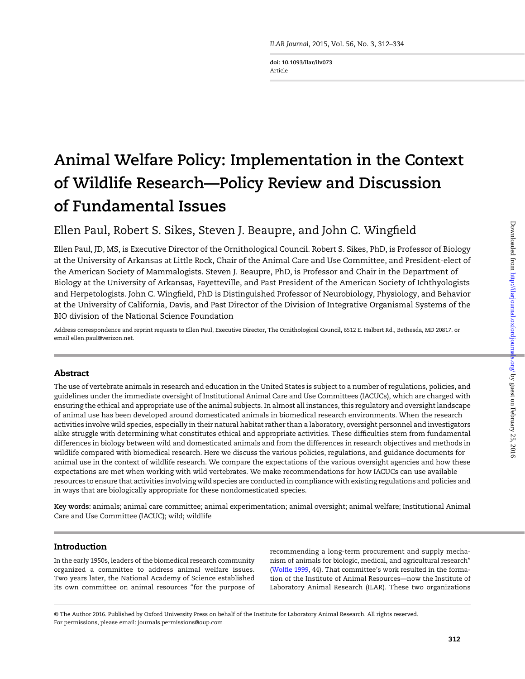doi: 10.1093/ilar/ilv073 Article

# Animal Welfare Policy: Implementation in the Context of Wildlife Research—Policy Review and Discussion of Fundamental Issues

Ellen Paul, Robert S. Sikes, Steven J. Beaupre, and John C. Wingfield

Ellen Paul, JD, MS, is Executive Director of the Ornithological Council. Robert S. Sikes, PhD, is Professor of Biology at the University of Arkansas at Little Rock, Chair of the Animal Care and Use Committee, and President-elect of the American Society of Mammalogists. Steven J. Beaupre, PhD, is Professor and Chair in the Department of Biology at the University of Arkansas, Fayetteville, and Past President of the American Society of Ichthyologists and Herpetologists. John C. Wingfield, PhD is Distinguished Professor of Neurobiology, Physiology, and Behavior at the University of California, Davis, and Past Director of the Division of Integrative Organismal Systems of the BIO division of the National Science Foundation

Address correspondence and reprint requests to Ellen Paul, Executive Director, The Ornithological Council, 6512 E. Halbert Rd., Bethesda, MD 20817. or email ellen.paul@verizon.net.

# Abstract

The use of vertebrate animals in research and education in the United States is subject to a number of regulations, policies, and guidelines under the immediate oversight of Institutional Animal Care and Use Committees (IACUCs), which are charged with ensuring the ethical and appropriate use of the animal subjects. In almost all instances, this regulatory and oversight landscape of animal use has been developed around domesticated animals in biomedical research environments. When the research activities involve wild species, especially in their natural habitat rather than a laboratory, oversight personnel and investigators alike struggle with determining what constitutes ethical and appropriate activities. These difficulties stem from fundamental differences in biology between wild and domesticated animals and from the differences in research objectives and methods in wildlife compared with biomedical research. Here we discuss the various policies, regulations, and guidance documents for animal use in the context of wildlife research. We compare the expectations of the various oversight agencies and how these expectations are met when working with wild vertebrates. We make recommendations for how IACUCs can use available resources to ensure that activities involving wild species are conducted in compliance with existing regulations and policies and in ways that are biologically appropriate for these nondomesticated species.

Key words: animals; animal care committee; animal experimentation; animal oversight; animal welfare; Institutional Animal Care and Use Committee (IACUC); wild; wildlife

# Introduction

In the early 1950s, leaders of the biomedical research community organized a committee to address animal welfare issues. Two years later, the National Academy of Science established its own committee on animal resources "for the purpose of recommending a long-term procurement and supply mechanism of animals for biologic, medical, and agricultural research" (Wolfl[e 1999,](#page-22-0) 44). That committee's work resulted in the formation of the Institute of Animal Resources—now the Institute of Laboratory Animal Research (ILAR). These two organizations

© The Author 2016. Published by Oxford University Press on behalf of the Institute for Laboratory Animal Research. All rights reserved. For permissions, please email: journals.permissions@oup.com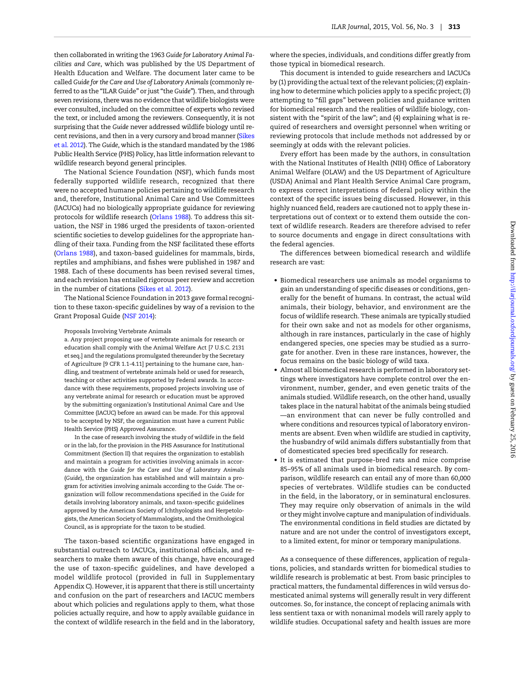then collaborated in writing the 1963 Guide for Laboratory Animal Facilities and Care, which was published by the US Department of Health Education and Welfare. The document later came to be called Guide for the Care and Use of Laboratory Animals (commonly referred to as the "ILAR Guide" or just "the Guide"). Then, and through seven revisions, there was no evidence that wildlife biologists were ever consulted, included on the committee of experts who revised the text, or included among the reviewers. Consequently, it is not surprising that the Guide never addressed wildlife biology until recent revisions, and then in a very cursory and broad manner ([Sikes](#page-22-0) [et al. 2012\)](#page-22-0). The Guide, which is the standard mandated by the 1986 Public Health Service (PHS) Policy, has little information relevant to wildlife research beyond general principles.

The National Science Foundation (NSF), which funds most federally supported wildlife research, recognized that there were no accepted humane policies pertaining to wildlife research and, therefore, Institutional Animal Care and Use Committees (IACUCs) had no biologically appropriate guidance for reviewing protocols for wildlife research [\(Orlans 1988](#page-22-0)). To address this situation, the NSF in 1986 urged the presidents of taxon-oriented scientific societies to develop guidelines for the appropriate handling of their taxa. Funding from the NSF facilitated these efforts [\(Orlans 1988](#page-22-0)), and taxon-based guidelines for mammals, birds, reptiles and amphibians, and fishes were published in 1987 and 1988. Each of these documents has been revised several times, and each revision has entailed rigorous peer review and accretion in the number of citations ([Sikes et al. 2012](#page-22-0)).

The National Science Foundation in 2013 gave formal recognition to these taxon-specific guidelines by way of a revision to the Grant Proposal Guide ([NSF 2014](#page-22-0)):

## Proposals Involving Vertebrate Animals

a. Any project proposing use of vertebrate animals for research or education shall comply with the Animal Welfare Act [7 U.S.C. 2131 et seq.] and the regulations promulgated thereunder by the Secretary of Agriculture [9 CFR 1.1-4.11] pertaining to the humane care, handling, and treatment of vertebrate animals held or used for research, teaching or other activities supported by Federal awards. In accordance with these requirements, proposed projects involving use of any vertebrate animal for research or education must be approved by the submitting organization's Institutional Animal Care and Use Committee (IACUC) before an award can be made. For this approval to be accepted by NSF, the organization must have a current Public Health Service (PHS) Approved Assurance.

In the case of research involving the study of wildlife in the field or in the lab, for the provision in the PHS Assurance for Institutional Commitment (Section II) that requires the organization to establish and maintain a program for activities involving animals in accordance with the Guide for the Care and Use of Laboratory Animals (Guide), the organization has established and will maintain a program for activities involving animals according to the Guide. The organization will follow recommendations specified in the Guide for details involving laboratory animals, and taxon-specific guidelines approved by the American Society of Ichthyologists and Herpetologists, the American Society of Mammalogists, and the Ornithological Council, as is appropriate for the taxon to be studied.

The taxon-based scientific organizations have engaged in substantial outreach to IACUCs, institutional officials, and researchers to make them aware of this change, have encouraged the use of taxon-specific guidelines, and have developed a model wildlife protocol (provided in full in [Supplementary](http://ilarjournal.oxfordjournals.org/lookup/suppl/doi:10.1093/ilar/ilv073/-/DC1) [Appendix C](http://ilarjournal.oxfordjournals.org/lookup/suppl/doi:10.1093/ilar/ilv073/-/DC1)). However, it is apparent that there is still uncertainty and confusion on the part of researchers and IACUC members about which policies and regulations apply to them, what those policies actually require, and how to apply available guidance in the context of wildlife research in the field and in the laboratory, where the species, individuals, and conditions differ greatly from those typical in biomedical research.

This document is intended to guide researchers and IACUCs by (1) providing the actual text of the relevant policies; (2) explaining how to determine which policies apply to a specific project; (3) attempting to "fill gaps" between policies and guidance written for biomedical research and the realities of wildlife biology, consistent with the "spirit of the law"; and (4) explaining what is required of researchers and oversight personnel when writing or reviewing protocols that include methods not addressed by or seemingly at odds with the relevant policies.

Every effort has been made by the authors, in consultation with the National Institutes of Health (NIH) Office of Laboratory Animal Welfare (OLAW) and the US Department of Agriculture (USDA) Animal and Plant Health Service Animal Care program, to express correct interpretations of federal policy within the context of the specific issues being discussed. However, in this highly nuanced field, readers are cautioned not to apply these interpretations out of context or to extend them outside the context of wildlife research. Readers are therefore advised to refer to source documents and engage in direct consultations with the federal agencies.

The differences between biomedical research and wildlife research are vast:

- Biomedical researchers use animals as model organisms to gain an understanding of specific diseases or conditions, generally for the benefit of humans. In contrast, the actual wild animals, their biology, behavior, and environment are the focus of wildlife research. These animals are typically studied for their own sake and not as models for other organisms, although in rare instances, particularly in the case of highly endangered species, one species may be studied as a surrogate for another. Even in these rare instances, however, the focus remains on the basic biology of wild taxa.
- Almost all biomedical research is performed in laboratory settings where investigators have complete control over the environment, number, gender, and even genetic traits of the animals studied. Wildlife research, on the other hand, usually takes place in the natural habitat of the animals being studied —an environment that can never be fully controlled and where conditions and resources typical of laboratory environments are absent. Even when wildlife are studied in captivity, the husbandry of wild animals differs substantially from that of domesticated species bred specifically for research.
- It is estimated that purpose-bred rats and mice comprise 85–95% of all animals used in biomedical research. By comparison, wildlife research can entail any of more than 60,000 species of vertebrates. Wildlife studies can be conducted in the field, in the laboratory, or in seminatural enclosures. They may require only observation of animals in the wild or they might involve capture and manipulation of individuals. The environmental conditions in field studies are dictated by nature and are not under the control of investigators except, to a limited extent, for minor or temporary manipulations.

As a consequence of these differences, application of regulations, policies, and standards written for biomedical studies to wildlife research is problematic at best. From basic principles to practical matters, the fundamental differences in wild versus domesticated animal systems will generally result in very different outcomes. So, for instance, the concept of replacing animals with less sentient taxa or with nonanimal models will rarely apply to wildlife studies. Occupational safety and health issues are more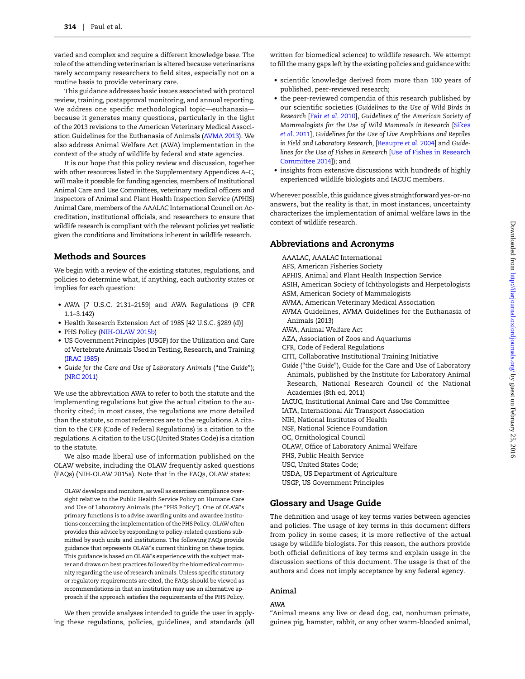varied and complex and require a different knowledge base. The role of the attending veterinarian is altered because veterinarians rarely accompany researchers to field sites, especially not on a routine basis to provide veterinary care.

This guidance addresses basic issues associated with protocol review, training, postapproval monitoring, and annual reporting. We address one specific methodological topic—euthanasia because it generates many questions, particularly in the light of the 2013 revisions to the American Veterinary Medical Association Guidelines for the Euthanasia of Animals ([AVMA 2013\)](#page-21-0). We also address Animal Welfare Act (AWA) implementation in the context of the study of wildlife by federal and state agencies.

It is our hope that this policy review and discussion, together with other resources listed in the [Supplementary Appendices A](http://ilarjournal.oxfordjournals.org/lookup/suppl/doi:10.1093/ilar/ilv073/-/DC1)–C, will make it possible for funding agencies, members of Institutional Animal Care and Use Committees, veterinary medical officers and inspectors of Animal and Plant Health Inspection Service (APHIS) Animal Care, members of the AAALAC International Council on Accreditation, institutional officials, and researchers to ensure that wildlife research is compliant with the relevant policies yet realistic given the conditions and limitations inherent in wildlife research.

## Methods and Sources

We begin with a review of the existing statutes, regulations, and policies to determine what, if anything, each authority states or implies for each question:

- AWA [7 U.S.C. 2131–2159] and AWA Regulations (9 CFR 1.1–3.142)
- Health Research Extension Act of 1985 [42 U.S.C. §289 (d)]
- PHS Policy [\(NIH-OLAW 2015b\)](#page-22-0)
- US Government Principles (USGP) for the Utilization and Care of Vertebrate Animals Used in Testing, Research, and Training [\(IRAC 1985\)](#page-22-0)
- Guide for the Care and Use of Laboratory Animals ("the Guide"); [\(NRC 2011\)](#page-22-0)

We use the abbreviation AWA to refer to both the statute and the implementing regulations but give the actual citation to the authority cited; in most cases, the regulations are more detailed than the statute, so most references are to the regulations. A citation to the CFR (Code of Federal Regulations) is a citation to the regulations. A citation to the USC (United States Code) is a citation to the statute.

We also made liberal use of information published on the OLAW website, including the OLAW frequently asked questions (FAQs) (NIH-OLAW 2015a). Note that in the FAQs, OLAW states:

OLAW develops and monitors, as well as exercises compliance oversight relative to the Public Health Service Policy on Humane Care and Use of Laboratory Animals (the "PHS Policy"). One of OLAW's primary functions is to advise awarding units and awardee institutions concerning the implementation of the PHS Policy. OLAW often provides this advice by responding to policy-related questions submitted by such units and institutions. The following FAQs provide guidance that represents OLAW's current thinking on these topics. This guidance is based on OLAW's experience with the subject matter and draws on best practices followed by the biomedical community regarding the use of research animals. Unless specific statutory or regulatory requirements are cited, the FAQs should be viewed as recommendations in that an institution may use an alternative approach if the approach satisfies the requirements of the PHS Policy.

We then provide analyses intended to guide the user in applying these regulations, policies, guidelines, and standards (all written for biomedical science) to wildlife research. We attempt to fill the many gaps left by the existing policies and guidance with:

- scientific knowledge derived from more than 100 years of published, peer-reviewed research;
- the peer-reviewed compendia of this research published by our scientific societies (Guidelines to the Use of Wild Birds in Research [Fair et al[. 2010\]](#page-21-0), Guidelines of the American Society of Mammalogists for the Use of Wild Mammals in Research [[Sikes](#page-22-0) et al[. 2011\]](#page-22-0), Guidelines for the Use of Live Amphibians and Reptiles in Field and Laboratory Research, [[Beaupre](#page-21-0) et al. 2004] and Guidelines for the Use of Fishes in Research [\[Use of Fishes in Research](#page-22-0) [Committee 2014](#page-22-0)]); and
- insights from extensive discussions with hundreds of highly experienced wildlife biologists and IACUC members.

Wherever possible, this guidance gives straightforward yes-or-no answers, but the reality is that, in most instances, uncertainty characterizes the implementation of animal welfare laws in the context of wildlife research.

## Abbreviations and Acronyms

AAALAC, AAALAC International AFS, American Fisheries Society APHIS, Animal and Plant Health Inspection Service ASIH, American Society of Ichthyologists and Herpetologists ASM, American Society of Mammalogists AVMA, American Veterinary Medical Association AVMA Guidelines, AVMA Guidelines for the Euthanasia of Animals (2013) AWA, Animal Welfare Act AZA, Association of Zoos and Aquariums CFR, Code of Federal Regulations CITI, Collaborative Institutional Training Initiative Guide ("the Guide"), Guide for the Care and Use of Laboratory Animals, published by the Institute for Laboratory Animal Research, National Research Council of the National Academies (8th ed, 2011) IACUC, Institutional Animal Care and Use Committee IATA, International Air Transport Association NIH, National Institutes of Health NSF, National Science Foundation OC, Ornithological Council OLAW, Office of Laboratory Animal Welfare PHS, Public Health Service USC, United States Code; USDA, US Department of Agriculture USGP, US Government Principles

# Glossary and Usage Guide

The definition and usage of key terms varies between agencies and policies. The usage of key terms in this document differs from policy in some cases; it is more reflective of the actual usage by wildlife biologists. For this reason, the authors provide both official definitions of key terms and explain usage in the discussion sections of this document. The usage is that of the authors and does not imply acceptance by any federal agency.

## Animal

## AWA

"Animal means any live or dead dog, cat, nonhuman primate, guinea pig, hamster, rabbit, or any other warm-blooded animal,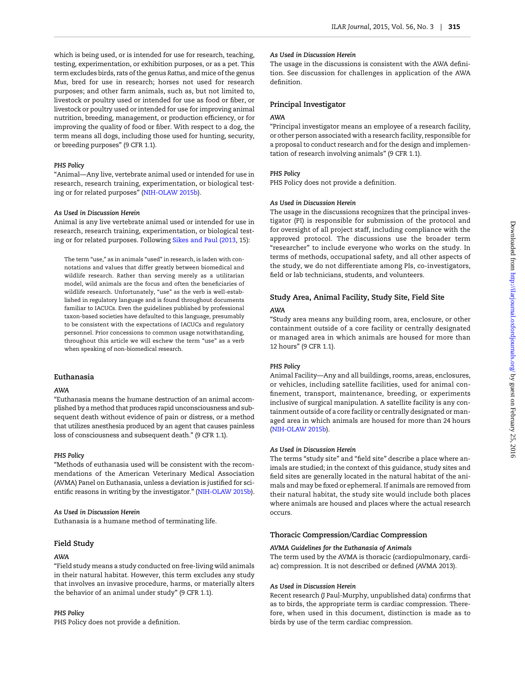which is being used, or is intended for use for research, teaching, testing, experimentation, or exhibition purposes, or as a pet. This term excludes birds, rats of the genus Rattus, and mice of the genus Mus, bred for use in research; horses not used for research purposes; and other farm animals, such as, but not limited to, livestock or poultry used or intended for use as food or fiber, or livestock or poultry used or intended for use for improving animal nutrition, breeding, management, or production efficiency, or for improving the quality of food or fiber. With respect to a dog, the term means all dogs, including those used for hunting, security, or breeding purposes" (9 CFR 1.1).

## PHS Policy

"Animal—Any live, vertebrate animal used or intended for use in research, research training, experimentation, or biological testing or for related purposes" [\(NIH-OLAW 2015b\)](#page-22-0).

## As Used in Discussion Herein

Animal is any live vertebrate animal used or intended for use in research, research training, experimentation, or biological testing or for related purposes. Following [Sikes and Paul \(2013,](#page-22-0) 15):

The term "use," as in animals "used" in research, is laden with connotations and values that differ greatly between biomedical and wildlife research. Rather than serving merely as a utilitarian model, wild animals are the focus and often the beneficiaries of wildlife research. Unfortunately, "use" as the verb is well-established in regulatory language and is found throughout documents familiar to IACUCs. Even the guidelines published by professional taxon-based societies have defaulted to this language, presumably to be consistent with the expectations of IACUCs and regulatory personnel. Prior concessions to common usage notwithstanding, throughout this article we will eschew the term "use" as a verb when speaking of non-biomedical research.

## Euthanasia

## $\triangle$ *MA*

"Euthanasia means the humane destruction of an animal accomplished by a method that produces rapid unconsciousness and subsequent death without evidence of pain or distress, or a method that utilizes anesthesia produced by an agent that causes painless loss of consciousness and subsequent death." (9 CFR 1.1).

#### PHS Policy

"Methods of euthanasia used will be consistent with the recommendations of the American Veterinary Medical Association (AVMA) Panel on Euthanasia, unless a deviation is justified for scientific reasons in writing by the investigator." ([NIH-OLAW 2015b\)](#page-22-0).

#### As Used in Discussion Herein

Euthanasia is a humane method of terminating life.

## Field Study

### AWA

"Field study means a study conducted on free-living wild animals in their natural habitat. However, this term excludes any study that involves an invasive procedure, harms, or materially alters the behavior of an animal under study" (9 CFR 1.1).

#### PHS Policy

PHS Policy does not provide a definition.

## As Used in Discussion Herein

The usage in the discussions is consistent with the AWA definition. See discussion for challenges in application of the AWA definition.

# Principal Investigator

## AWA

"Principal investigator means an employee of a research facility, or other person associated with a research facility, responsible for a proposal to conduct research and for the design and implementation of research involving animals" (9 CFR 1.1).

## PHS Policy

PHS Policy does not provide a definition.

## As Used in Discussion Herein

The usage in the discussions recognizes that the principal investigator (PI) is responsible for submission of the protocol and for oversight of all project staff, including compliance with the approved protocol. The discussions use the broader term "researcher" to include everyone who works on the study. In terms of methods, occupational safety, and all other aspects of the study, we do not differentiate among PIs, co-investigators, field or lab technicians, students, and volunteers.

## Study Area, Animal Facility, Study Site, Field Site

## AWA

"Study area means any building room, area, enclosure, or other containment outside of a core facility or centrally designated or managed area in which animals are housed for more than 12 hours" (9 CFR 1.1).

## PHS Policy

Animal Facility—Any and all buildings, rooms, areas, enclosures, or vehicles, including satellite facilities, used for animal confinement, transport, maintenance, breeding, or experiments inclusive of surgical manipulation. A satellite facility is any containment outside of a core facility or centrally designated or managed area in which animals are housed for more than 24 hours [\(NIH-OLAW 2015b](#page-22-0)).

#### As Used in Discussion Herein

The terms "study site" and "field site" describe a place where animals are studied; in the context of this guidance, study sites and field sites are generally located in the natural habitat of the animals and may be fixed or ephemeral. If animals are removed from their natural habitat, the study site would include both places where animals are housed and places where the actual research occurs.

## Thoracic Compression/Cardiac Compression

## AVMA Guidelines for the Euthanasia of Animals

The term used by the AVMA is thoracic (cardiopulmonary, cardiac) compression. It is not described or defined (AVMA 2013).

## As Used in Discussion Herein

Recent research (J Paul-Murphy, unpublished data) confirms that as to birds, the appropriate term is cardiac compression. Therefore, when used in this document, distinction is made as to birds by use of the term cardiac compression.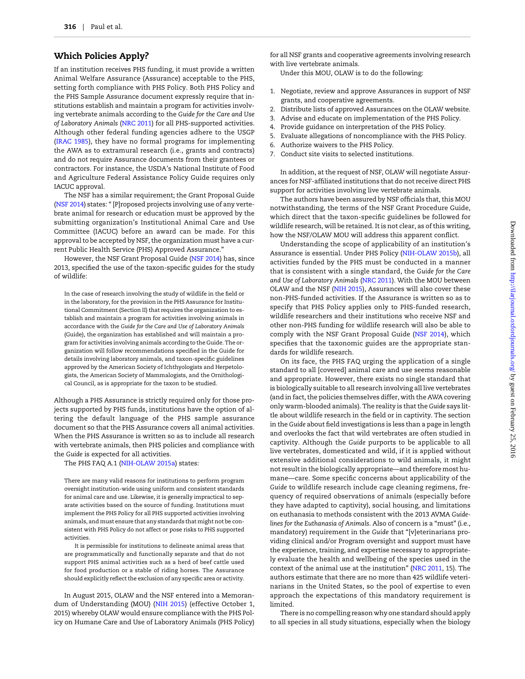# Which Policies Apply?

If an institution receives PHS funding, it must provide a written Animal Welfare Assurance (Assurance) acceptable to the PHS, setting forth compliance with PHS Policy. Both PHS Policy and the PHS Sample Assurance document expressly require that institutions establish and maintain a program for activities involving vertebrate animals according to the Guide for the Care and Use of Laboratory Animals [\(NRC 2011\)](#page-22-0) for all PHS-supported activities. Although other federal funding agencies adhere to the USGP [\(IRAC 1985](#page-22-0)), they have no formal programs for implementing the AWA as to extramural research (i.e., grants and contracts) and do not require Assurance documents from their grantees or contractors. For instance, the USDA's National Institute of Food and Agriculture Federal Assistance Policy Guide requires only IACUC approval.

The NSF has a similar requirement; the Grant Proposal Guide [\(NSF 2014\)](#page-22-0) states: " [P]roposed projects involving use of any vertebrate animal for research or education must be approved by the submitting organization's Institutional Animal Care and Use Committee (IACUC) before an award can be made. For this approval to be accepted by NSF, the organization must have a current Public Health Service (PHS) Approved Assurance."

However, the NSF Grant Proposal Guide [\(NSF 2014](#page-22-0)) has, since 2013, specified the use of the taxon-specific guides for the study of wildlife:

In the case of research involving the study of wildlife in the field or in the laboratory, for the provision in the PHS Assurance for Institutional Commitment (Section II) that requires the organization to establish and maintain a program for activities involving animals in accordance with the Guide for the Care and Use of Laboratory Animals (Guide), the organization has established and will maintain a program for activities involving animals according to the Guide. The organization will follow recommendations specified in the Guide for details involving laboratory animals, and taxon-specific guidelines approved by the American Society of Ichthyologists and Herpetologists, the American Society of Mammalogists, and the Ornithological Council, as is appropriate for the taxon to be studied.

Although a PHS Assurance is strictly required only for those projects supported by PHS funds, institutions have the option of altering the default language of the PHS sample assurance document so that the PHS Assurance covers all animal activities. When the PHS Assurance is written so as to include all research with vertebrate animals, then PHS policies and compliance with the Guide is expected for all activities.

The PHS FAQ A.1 [\(NIH-OLAW 2015a](#page-22-0)) states:

There are many valid reasons for institutions to perform program oversight institution-wide using uniform and consistent standards for animal care and use. Likewise, it is generally impractical to separate activities based on the source of funding. Institutions must implement the PHS Policy for all PHS supported activities involving animals, and must ensure that any standards that might not be consistent with PHS Policy do not affect or pose risks to PHS supported activities.

It is permissible for institutions to delineate animal areas that are programmatically and functionally separate and that do not support PHS animal activities such as a herd of beef cattle used for food production or a stable of riding horses. The Assurance should explicitly reflect the exclusion of any specific area or activity.

In August 2015, OLAW and the NSF entered into a Memorandum of Understanding (MOU) [\(NIH 2015\)](#page-22-0) (effective October 1, 2015) whereby OLAW would ensure compliance with the PHS Policy on Humane Care and Use of Laboratory Animals (PHS Policy) for all NSF grants and cooperative agreements involving research with live vertebrate animals.

Under this MOU, OLAW is to do the following:

- 1. Negotiate, review and approve Assurances in support of NSF grants, and cooperative agreements.
- 2. Distribute lists of approved Assurances on the OLAW website.
- 3. Advise and educate on implementation of the PHS Policy.
- 4. Provide guidance on interpretation of the PHS Policy.
- 5. Evaluate allegations of noncompliance with the PHS Policy.
- 6. Authorize waivers to the PHS Policy.
- 7. Conduct site visits to selected institutions.

In addition, at the request of NSF, OLAW will negotiate Assurances for NSF-affiliated institutions that do not receive direct PHS support for activities involving live vertebrate animals.

The authors have been assured by NSF officials that, this MOU notwithstanding, the terms of the NSF Grant Procedure Guide, which direct that the taxon-specific guidelines be followed for wildlife research, will be retained. It is not clear, as of this writing, how the NSF/OLAW MOU will address this apparent conflict.

Understanding the scope of applicability of an institution's Assurance is essential. Under PHS Policy [\(NIH-OLAW 2015b](#page-22-0)), all activities funded by the PHS must be conducted in a manner that is consistent with a single standard, the Guide for the Care and Use of Laboratory Animals ([NRC 2011](#page-22-0)). With the MOU between OLAW and the NSF ([NIH 2015\)](#page-22-0), Assurances will also cover these non-PHS-funded activities. If the Assurance is written so as to specify that PHS Policy applies only to PHS-funded research, wildlife researchers and their institutions who receive NSF and other non-PHS funding for wildlife research will also be able to comply with the NSF Grant Proposal Guide ([NSF 2014\)](#page-22-0), which specifies that the taxonomic guides are the appropriate standards for wildlife research.

On its face, the PHS FAQ urging the application of a single standard to all [covered] animal care and use seems reasonable and appropriate. However, there exists no single standard that is biologically suitable to all research involving all live vertebrates (and in fact, the policies themselves differ, with the AWA covering only warm-blooded animals). The reality is that the Guide says little about wildlife research in the field or in captivity. The section in the Guide about field investigations is less than a page in length and overlooks the fact that wild vertebrates are often studied in captivity. Although the Guide purports to be applicable to all live vertebrates, domesticated and wild, if it is applied without extensive additional considerations to wild animals, it might not result in the biologically appropriate—and therefore most humane—care. Some specific concerns about applicability of the Guide to wildlife research include cage cleaning regimens, frequency of required observations of animals (especially before they have adapted to captivity), social housing, and limitations on euthanasia to methods consistent with the 2013 AVMA Guidelines for the Euthanasia of Animals. Also of concern is a "must" (i.e., mandatory) requirement in the Guide that "[v]eterinarians providing clinical and/or Program oversight and support must have the experience, training, and expertise necessary to appropriately evaluate the health and wellbeing of the species used in the context of the animal use at the institution" [\(NRC 2011,](#page-22-0) 15). The authors estimate that there are no more than 425 wildlife veterinarians in the United States, so the pool of expertise to even approach the expectations of this mandatory requirement is limited.

There is no compelling reason why one standard should apply to all species in all study situations, especially when the biology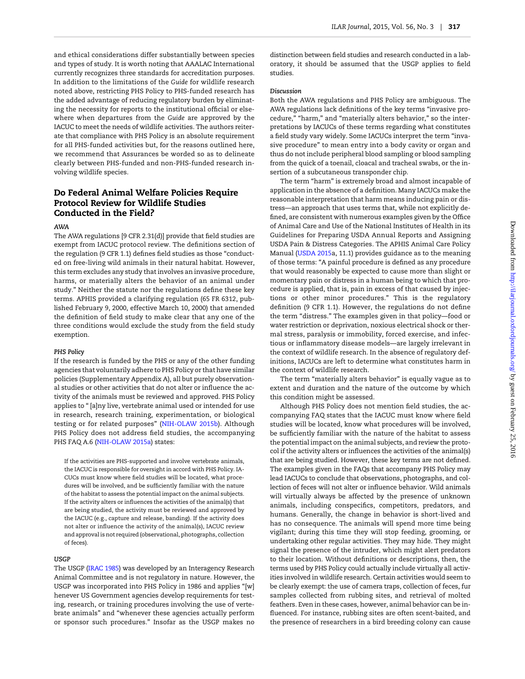and ethical considerations differ substantially between species and types of study. It is worth noting that AAALAC International currently recognizes three standards for accreditation purposes. In addition to the limitations of the Guide for wildlife research noted above, restricting PHS Policy to PHS-funded research has the added advantage of reducing regulatory burden by eliminating the necessity for reports to the institutional official or elsewhere when departures from the Guide are approved by the IACUC to meet the needs of wildlife activities. The authors reiterate that compliance with PHS Policy is an absolute requirement for all PHS-funded activities but, for the reasons outlined here, we recommend that Assurances be worded so as to delineate clearly between PHS-funded and non-PHS-funded research involving wildlife species.

# Do Federal Animal Welfare Policies Require Protocol Review for Wildlife Studies Conducted in the Field?

## AWA

The AWA regulations [9 CFR 2.31(d)] provide that field studies are exempt from IACUC protocol review. The definitions section of the regulation (9 CFR 1.1) defines field studies as those "conducted on free-living wild animals in their natural habitat. However, this term excludes any study that involves an invasive procedure, harms, or materially alters the behavior of an animal under study." Neither the statute nor the regulations define these key terms. APHIS provided a clarifying regulation (65 FR 6312, published February 9, 2000, effective March 10, 2000) that amended the definition of field study to make clear that any one of the three conditions would exclude the study from the field study exemption.

## PHS Policy

If the research is funded by the PHS or any of the other funding agencies that voluntarily adhere to PHS Policy or that have similar policies ([Supplementary Appendix A\)](http://ilarjournal.oxfordjournals.org/lookup/suppl/doi:10.1093/ilar/ilv073/-/DC1), all but purely observational studies or other activities that do not alter or influence the activity of the animals must be reviewed and approved. PHS Policy applies to " [a]ny live, vertebrate animal used or intended for use in research, research training, experimentation, or biological testing or for related purposes" ([NIH-OLAW 2015b](#page-22-0)). Although PHS Policy does not address field studies, the accompanying PHS FAQ A.6 [\(NIH-OLAW 2015a](#page-22-0)) states:

If the activities are PHS-supported and involve vertebrate animals, the IACUC is responsible for oversight in accord with PHS Policy. IA-CUCs must know where field studies will be located, what procedures will be involved, and be sufficiently familiar with the nature of the habitat to assess the potential impact on the animal subjects. If the activity alters or influences the activities of the animal(s) that are being studied, the activity must be reviewed and approved by the IACUC (e.g., capture and release, banding). If the activity does not alter or influence the activity of the animal(s), IACUC review and approval is not required (observational, photographs, collection of feces).

#### **USGP**

The USGP ([IRAC 1985\)](#page-22-0) was developed by an Interagency Research Animal Committee and is not regulatory in nature. However, the USGP was incorporated into PHS Policy in 1986 and applies "[w] henever US Government agencies develop requirements for testing, research, or training procedures involving the use of vertebrate animals" and "whenever these agencies actually perform or sponsor such procedures." Insofar as the USGP makes no distinction between field studies and research conducted in a laboratory, it should be assumed that the USGP applies to field studies.

## Discussion

Both the AWA regulations and PHS Policy are ambiguous. The AWA regulations lack definitions of the key terms "invasive procedure," "harm," and "materially alters behavior," so the interpretations by IACUCs of these terms regarding what constitutes a field study vary widely. Some IACUCs interpret the term "invasive procedure" to mean entry into a body cavity or organ and thus do not include peripheral blood sampling or blood sampling from the quick of a toenail, cloacal and tracheal swabs, or the insertion of a subcutaneous transponder chip.

The term "harm" is extremely broad and almost incapable of application in the absence of a definition. Many IACUCs make the reasonable interpretation that harm means inducing pain or distress—an approach that uses terms that, while not explicitly defined, are consistent with numerous examples given by the Office of Animal Care and Use of the National Institutes of Health in its Guidelines for Preparing USDA Annual Reports and Assigning USDA Pain & Distress Categories. The APHIS Animal Care Policy Manual [\(USDA 2015a](#page-22-0), 11.1) provides guidance as to the meaning of those terms: "A painful procedure is defined as any procedure that would reasonably be expected to cause more than slight or momentary pain or distress in a human being to which that procedure is applied, that is, pain in excess of that caused by injections or other minor procedures." This is the regulatory definition (9 CFR 1.1). However, the regulations do not define the term "distress." The examples given in that policy—food or water restriction or deprivation, noxious electrical shock or thermal stress, paralysis or immobility, forced exercise, and infectious or inflammatory disease models—are largely irrelevant in the context of wildlife research. In the absence of regulatory definitions, IACUCs are left to determine what constitutes harm in the context of wildlife research.

The term "materially alters behavior" is equally vague as to extent and duration and the nature of the outcome by which this condition might be assessed.

Although PHS Policy does not mention field studies, the accompanying FAQ states that the IACUC must know where field studies will be located, know what procedures will be involved, be sufficiently familiar with the nature of the habitat to assess the potential impact on the animal subjects, and review the protocol if the activity alters or influences the activities of the animal(s) that are being studied. However, these key terms are not defined. The examples given in the FAQs that accompany PHS Policy may lead IACUCs to conclude that observations, photographs, and collection of feces will not alter or influence behavior. Wild animals will virtually always be affected by the presence of unknown animals, including conspecifics, competitors, predators, and humans. Generally, the change in behavior is short-lived and has no consequence. The animals will spend more time being vigilant; during this time they will stop feeding, grooming, or undertaking other regular activities. They may hide. They might signal the presence of the intruder, which might alert predators to their location. Without definitions or descriptions, then, the terms used by PHS Policy could actually include virtually all activities involved in wildlife research. Certain activities would seem to be clearly exempt: the use of camera traps, collection of feces, fur samples collected from rubbing sites, and retrieval of molted feathers. Even in these cases, however, animal behavior can be influenced. For instance, rubbing sites are often scent-baited, and the presence of researchers in a bird breeding colony can cause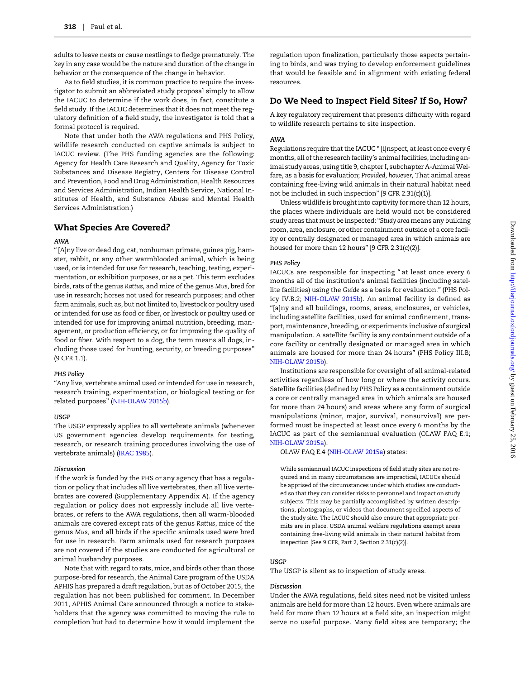adults to leave nests or cause nestlings to fledge prematurely. The key in any case would be the nature and duration of the change in behavior or the consequence of the change in behavior.

As to field studies, it is common practice to require the investigator to submit an abbreviated study proposal simply to allow the IACUC to determine if the work does, in fact, constitute a field study. If the IACUC determines that it does not meet the regulatory definition of a field study, the investigator is told that a formal protocol is required.

Note that under both the AWA regulations and PHS Policy, wildlife research conducted on captive animals is subject to IACUC review. (The PHS funding agencies are the following: Agency for Health Care Research and Quality, Agency for Toxic Substances and Disease Registry, Centers for Disease Control and Prevention, Food and Drug Administration, Health Resources and Services Administration, Indian Health Service, National Institutes of Health, and Substance Abuse and Mental Health Services Administration.)

## What Species Are Covered?

#### AWA

" [A]ny live or dead dog, cat, nonhuman primate, guinea pig, hamster, rabbit, or any other warmblooded animal, which is being used, or is intended for use for research, teaching, testing, experimentation, or exhibition purposes, or as a pet. This term excludes birds, rats of the genus Rattus, and mice of the genus Mus, bred for use in research; horses not used for research purposes; and other farm animals, such as, but not limited to, livestock or poultry used or intended for use as food or fiber, or livestock or poultry used or intended for use for improving animal nutrition, breeding, management, or production efficiency, or for improving the quality of food or fiber. With respect to a dog, the term means all dogs, including those used for hunting, security, or breeding purposes" (9 CFR 1.1).

#### PHS Policy

"Any live, vertebrate animal used or intended for use in research, research training, experimentation, or biological testing or for related purposes" ([NIH-OLAW 2015b\)](#page-22-0).

#### USGP

The USGP expressly applies to all vertebrate animals (whenever US government agencies develop requirements for testing, research, or research training procedures involving the use of vertebrate animals) [\(IRAC 1985\)](#page-22-0).

#### Discussion

If the work is funded by the PHS or any agency that has a regulation or policy that includes all live vertebrates, then all live vertebrates are covered [\(Supplementary Appendix A](http://ilarjournal.oxfordjournals.org/lookup/suppl/doi:10.1093/ilar/ilv073/-/DC1)). If the agency regulation or policy does not expressly include all live vertebrates, or refers to the AWA regulations, then all warm-blooded animals are covered except rats of the genus Rattus, mice of the genus Mus, and all birds if the specific animals used were bred for use in research. Farm animals used for research purposes are not covered if the studies are conducted for agricultural or animal husbandry purposes.

Note that with regard to rats, mice, and birds other than those purpose-bred for research, the Animal Care program of the USDA APHIS has prepared a draft regulation, but as of October 2015, the regulation has not been published for comment. In December 2011, APHIS Animal Care announced through a notice to stakeholders that the agency was committed to moving the rule to completion but had to determine how it would implement the regulation upon finalization, particularly those aspects pertaining to birds, and was trying to develop enforcement guidelines that would be feasible and in alignment with existing federal resources.

## Do We Need to Inspect Field Sites? If So, How?

A key regulatory requirement that presents difficulty with regard to wildlife research pertains to site inspection.

#### AWA

Regulations require that the IACUC " [i]nspect, at least once every 6 months, all of the research facility's animal facilities, including animal study areas, using title 9, chapter I, subchapter A-Animal Welfare, as a basis for evaluation; Provided, however, That animal areas containing free-living wild animals in their natural habitat need not be included in such inspection" [9 CFR 2.31(c)(1)].

Unless wildlife is brought into captivity for more than 12 hours, the places where individuals are held would not be considered study areas that must be inspected: "Study area means any building room, area, enclosure, or other containment outside of a core facility or centrally designated or managed area in which animals are housed for more than 12 hours" [9 CFR 2.31(c)(2)].

## PHS Policy

IACUCs are responsible for inspecting " at least once every 6 months all of the institution's animal facilities (including satellite facilities) using the Guide as a basis for evaluation." (PHS Policy IV.B.2; [NIH-OLAW 2015b\)](#page-22-0). An animal facility is defined as "[a]ny and all buildings, rooms, areas, enclosures, or vehicles, including satellite facilities, used for animal confinement, transport, maintenance, breeding, or experiments inclusive of surgical manipulation. A satellite facility is any containment outside of a core facility or centrally designated or managed area in which animals are housed for more than 24 hours" (PHS Policy III.B; [NIH-OLAW 2015b](#page-22-0)).

Institutions are responsible for oversight of all animal-related activities regardless of how long or where the activity occurs. Satellite facilities (defined by PHS Policy as a containment outside a core or centrally managed area in which animals are housed for more than 24 hours) and areas where any form of surgical manipulations (minor, major, survival, nonsurvival) are performed must be inspected at least once every 6 months by the IACUC as part of the semiannual evaluation (OLAW FAQ E.1; [NIH-OLAW 2015a](#page-22-0)).

OLAW FAQ E.4 [\(NIH-OLAW 2015a](#page-22-0)) states:

While semiannual IACUC inspections of field study sites are not required and in many circumstances are impractical, IACUCs should be apprised of the circumstances under which studies are conducted so that they can consider risks to personnel and impact on study subjects. This may be partially accomplished by written descriptions, photographs, or videos that document specified aspects of the study site. The IACUC should also ensure that appropriate permits are in place. USDA animal welfare regulations exempt areas containing free-living wild animals in their natural habitat from inspection [See 9 CFR, Part 2, Section 2.31(c)(2)].

## **USGP**

The USGP is silent as to inspection of study areas.

#### Discussion

Under the AWA regulations, field sites need not be visited unless animals are held for more than 12 hours. Even where animals are held for more than 12 hours at a field site, an inspection might serve no useful purpose. Many field sites are temporary; the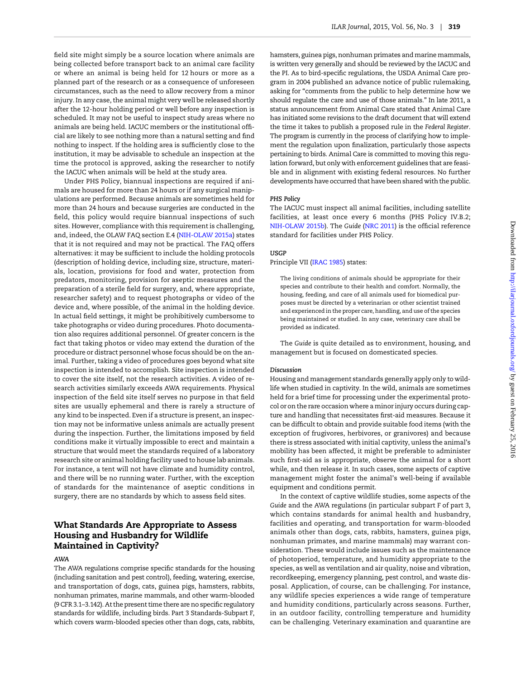field site might simply be a source location where animals are being collected before transport back to an animal care facility or where an animal is being held for 12 hours or more as a planned part of the research or as a consequence of unforeseen circumstances, such as the need to allow recovery from a minor injury. In any case, the animal might very well be released shortly after the 12-hour holding period or well before any inspection is scheduled. It may not be useful to inspect study areas where no animals are being held. IACUC members or the institutional official are likely to see nothing more than a natural setting and find nothing to inspect. If the holding area is sufficiently close to the institution, it may be advisable to schedule an inspection at the time the protocol is approved, asking the researcher to notify the IACUC when animals will be held at the study area.

Under PHS Policy, biannual inspections are required if animals are housed for more than 24 hours or if any surgical manipulations are performed. Because animals are sometimes held for more than 24 hours and because surgeries are conducted in the field, this policy would require biannual inspections of such sites. However, compliance with this requirement is challenging, and, indeed, the OLAW FAQ section E.4 ([NIH-OLAW 2015a](#page-22-0)) states that it is not required and may not be practical. The FAQ offers alternatives: it may be sufficient to include the holding protocols (description of holding device, including size, structure, materials, location, provisions for food and water, protection from predators, monitoring, provision for aseptic measures and the preparation of a sterile field for surgery, and, where appropriate, researcher safety) and to request photographs or video of the device and, where possible, of the animal in the holding device. In actual field settings, it might be prohibitively cumbersome to take photographs or video during procedures. Photo documentation also requires additional personnel. Of greater concern is the fact that taking photos or video may extend the duration of the procedure or distract personnel whose focus should be on the animal. Further, taking a video of procedures goes beyond what site inspection is intended to accomplish. Site inspection is intended to cover the site itself, not the research activities. A video of research activities similarly exceeds AWA requirements. Physical inspection of the field site itself serves no purpose in that field sites are usually ephemeral and there is rarely a structure of any kind to be inspected. Even if a structure is present, an inspection may not be informative unless animals are actually present during the inspection. Further, the limitations imposed by field conditions make it virtually impossible to erect and maintain a structure that would meet the standards required of a laboratory research site or animal holding facility used to house lab animals. For instance, a tent will not have climate and humidity control, and there will be no running water. Further, with the exception of standards for the maintenance of aseptic conditions in surgery, there are no standards by which to assess field sites.

# What Standards Are Appropriate to Assess Housing and Husbandry for Wildlife Maintained in Captivity?

#### **AWA**

The AWA regulations comprise specific standards for the housing (including sanitation and pest control), feeding, watering, exercise, and transportation of dogs, cats, guinea pigs, hamsters, rabbits, nonhuman primates, marine mammals, and other warm-blooded (9 CFR 3.1–3.142). At the present time there are no specific regulatory standards for wildlife, including birds. Part 3 Standards-Subpart F, which covers warm-blooded species other than dogs, cats, rabbits, hamsters, guinea pigs, nonhuman primates and marine mammals, is written very generally and should be reviewed by the IACUC and the PI. As to bird-specific regulations, the USDA Animal Care program in 2004 published an advance notice of public rulemaking, asking for "comments from the public to help determine how we should regulate the care and use of those animals." In late 2011, a status announcement from Animal Care stated that Animal Care has initiated some revisions to the draft document that will extend the time it takes to publish a proposed rule in the Federal Register. The program is currently in the process of clarifying how to implement the regulation upon finalization, particularly those aspects pertaining to birds. Animal Care is committed to moving this regulation forward, but only with enforcement guidelines that are feasible and in alignment with existing federal resources. No further developments have occurred that have been shared with the public.

## PHS Policy

The IACUC must inspect all animal facilities, including satellite facilities, at least once every 6 months (PHS Policy IV.B.2; [NIH-OLAW 2015b\)](#page-22-0). The Guide ([NRC 2011](#page-22-0)) is the official reference standard for facilities under PHS Policy.

## USGP

Principle VII [\(IRAC 1985](#page-22-0)) states:

The living conditions of animals should be appropriate for their species and contribute to their health and comfort. Normally, the housing, feeding, and care of all animals used for biomedical purposes must be directed by a veterinarian or other scientist trained and experienced in the proper care, handling, and use of the species being maintained or studied. In any case, veterinary care shall be provided as indicated.

The Guide is quite detailed as to environment, housing, and management but is focused on domesticated species.

#### Discussion

Housing and management standards generally apply only to wildlife when studied in captivity. In the wild, animals are sometimes held for a brief time for processing under the experimental protocol or on the rare occasion where a minor injury occurs during capture and handling that necessitates first-aid measures. Because it can be difficult to obtain and provide suitable food items (with the exception of frugivores, herbivores, or granivores) and because there is stress associated with initial captivity, unless the animal's mobility has been affected, it might be preferable to administer such first-aid as is appropriate, observe the animal for a short while, and then release it. In such cases, some aspects of captive management might foster the animal's well-being if available equipment and conditions permit.

In the context of captive wildlife studies, some aspects of the Guide and the AWA regulations (in particular subpart F of part 3, which contains standards for animal health and husbandry, facilities and operating, and transportation for warm-blooded animals other than dogs, cats, rabbits, hamsters, guinea pigs, nonhuman primates, and marine mammals) may warrant consideration. These would include issues such as the maintenance of photoperiod, temperature, and humidity appropriate to the species, as well as ventilation and air quality, noise and vibration, recordkeeping, emergency planning, pest control, and waste disposal. Application, of course, can be challenging. For instance, any wildlife species experiences a wide range of temperature and humidity conditions, particularly across seasons. Further, in an outdoor facility, controlling temperature and humidity can be challenging. Veterinary examination and quarantine are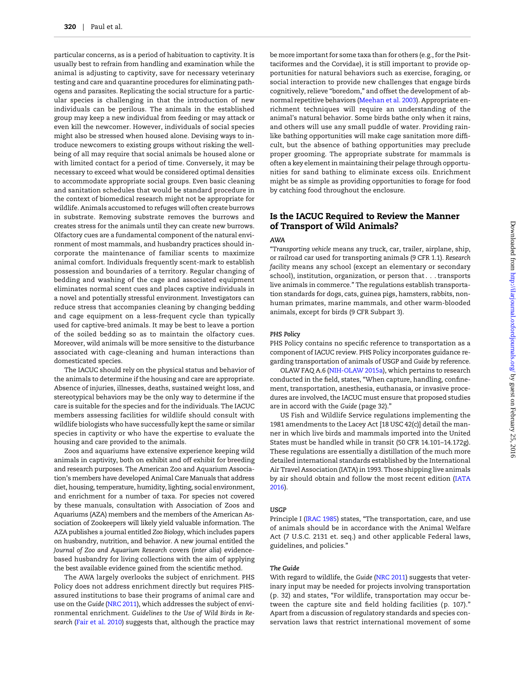particular concerns, as is a period of habituation to captivity. It is usually best to refrain from handling and examination while the animal is adjusting to captivity, save for necessary veterinary testing and care and quarantine procedures for eliminating pathogens and parasites. Replicating the social structure for a particular species is challenging in that the introduction of new individuals can be perilous. The animals in the established group may keep a new individual from feeding or may attack or even kill the newcomer. However, individuals of social species might also be stressed when housed alone. Devising ways to introduce newcomers to existing groups without risking the wellbeing of all may require that social animals be housed alone or with limited contact for a period of time. Conversely, it may be necessary to exceed what would be considered optimal densities to accommodate appropriate social groups. Even basic cleaning and sanitation schedules that would be standard procedure in the context of biomedical research might not be appropriate for wildlife. Animals accustomed to refuges will often create burrows in substrate. Removing substrate removes the burrows and creates stress for the animals until they can create new burrows. Olfactory cues are a fundamental component of the natural environment of most mammals, and husbandry practices should incorporate the maintenance of familiar scents to maximize animal comfort. Individuals frequently scent-mark to establish possession and boundaries of a territory. Regular changing of bedding and washing of the cage and associated equipment eliminates normal scent cues and places captive individuals in a novel and potentially stressful environment. Investigators can reduce stress that accompanies cleaning by changing bedding and cage equipment on a less-frequent cycle than typically used for captive-bred animals. It may be best to leave a portion of the soiled bedding so as to maintain the olfactory cues. Moreover, wild animals will be more sensitive to the disturbance associated with cage-cleaning and human interactions than domesticated species.

The IACUC should rely on the physical status and behavior of the animals to determine if the housing and care are appropriate. Absence of injuries, illnesses, deaths, sustained weight loss, and stereotypical behaviors may be the only way to determine if the care is suitable for the species and for the individuals. The IACUC members assessing facilities for wildlife should consult with wildlife biologists who have successfully kept the same or similar species in captivity or who have the expertise to evaluate the housing and care provided to the animals.

Zoos and aquariums have extensive experience keeping wild animals in captivity, both on exhibit and off exhibit for breeding and research purposes. The American Zoo and Aquarium Association's members have developed Animal Care Manuals that address diet, housing, temperature, humidity, lighting, social environment, and enrichment for a number of taxa. For species not covered by these manuals, consultation with Association of Zoos and Aquariums (AZA) members and the members of the American Association of Zookeepers will likely yield valuable information. The AZA publishes a journal entitled Zoo Biology, which includes papers on husbandry, nutrition, and behavior. A new journal entitled the Journal of Zoo and Aquarium Research covers (inter alia) evidencebased husbandry for living collections with the aim of applying the best available evidence gained from the scientific method.

The AWA largely overlooks the subject of enrichment. PHS Policy does not address enrichment directly but requires PHSassured institutions to base their programs of animal care and use on the Guide ([NRC 2011\)](#page-22-0), which addresses the subject of environmental enrichment. Guidelines to the Use of Wild Birds in Re-search [\(Fair et al. 2010](#page-21-0)) suggests that, although the practice may

be more important for some taxa than for others (e.g., for the Psittaciformes and the Corvidae), it is still important to provide opportunities for natural behaviors such as exercise, foraging, or social interaction to provide new challenges that engage birds cognitively, relieve "boredom," and offset the development of abnormal repetitive behaviors [\(Meehan et al. 2003\)](#page-22-0). Appropriate enrichment techniques will require an understanding of the animal's natural behavior. Some birds bathe only when it rains, and others will use any small puddle of water. Providing rainlike bathing opportunities will make cage sanitation more difficult, but the absence of bathing opportunities may preclude proper grooming. The appropriate substrate for mammals is often a key element in maintaining their pelage through opportunities for sand bathing to eliminate excess oils. Enrichment might be as simple as providing opportunities to forage for food by catching food throughout the enclosure.

# Is the IACUC Required to Review the Manner of Transport of Wild Animals?

#### AWA

"Transporting vehicle means any truck, car, trailer, airplane, ship, or railroad car used for transporting animals (9 CFR 1.1). Research facility means any school (except an elementary or secondary school), institution, organization, or person that . . . transports live animals in commerce." The regulations establish transportation standards for dogs, cats, guinea pigs, hamsters, rabbits, nonhuman primates, marine mammals, and other warm-blooded animals, except for birds (9 CFR Subpart 3).

## PHS Policy

PHS Policy contains no specific reference to transportation as a component of IACUC review. PHS Policy incorporates guidance regarding transportation of animals of USGP and Guide by reference.

OLAW FAQ A.6 [\(NIH-OLAW 2015a\)](#page-22-0), which pertains to research conducted in the field, states, "When capture, handling, confinement, transportation, anesthesia, euthanasia, or invasive procedures are involved, the IACUC must ensure that proposed studies are in accord with the Guide (page 32)."

US Fish and Wildlife Service regulations implementing the 1981 amendments to the Lacey Act [18 USC 42(c)] detail the manner in which live birds and mammals imported into the United States must be handled while in transit (50 CFR 14.101–14.172g). These regulations are essentially a distillation of the much more detailed international standards established by the International Air Travel Association (IATA) in 1993. Those shipping live animals by air should obtain and follow the most recent edition ([IATA](#page-22-0) [2016\)](#page-22-0).

## **USGP**

Principle I ([IRAC 1985](#page-22-0)) states, "The transportation, care, and use of animals should be in accordance with the Animal Welfare Act (7 U.S.C. 2131 et. seq.) and other applicable Federal laws, guidelines, and policies."

## The Guide

With regard to wildlife, the Guide ([NRC 2011](#page-22-0)) suggests that veterinary input may be needed for projects involving transportation (p. 32) and states, "For wildlife, transportation may occur between the capture site and field holding facilities (p. 107)." Apart from a discussion of regulatory standards and species conservation laws that restrict international movement of some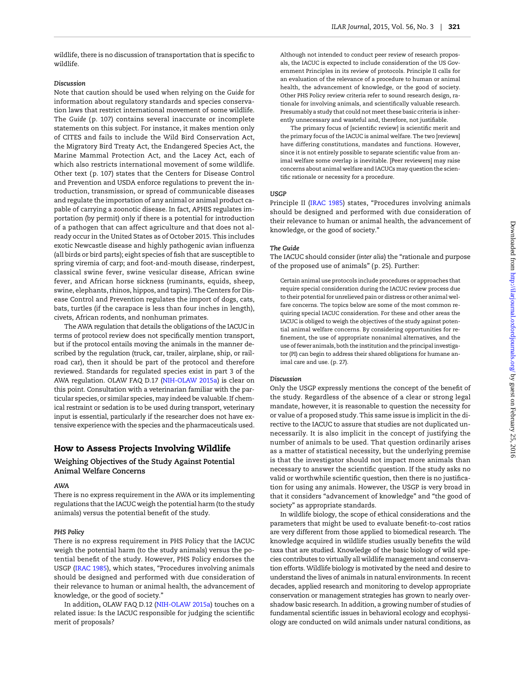## Discussion

Note that caution should be used when relying on the Guide for information about regulatory standards and species conservation laws that restrict international movement of some wildlife. The Guide (p. 107) contains several inaccurate or incomplete statements on this subject. For instance, it makes mention only of CITES and fails to include the Wild Bird Conservation Act, the Migratory Bird Treaty Act, the Endangered Species Act, the Marine Mammal Protection Act, and the Lacey Act, each of which also restricts international movement of some wildlife. Other text (p. 107) states that the Centers for Disease Control and Prevention and USDA enforce regulations to prevent the introduction, transmission, or spread of communicable diseases and regulate the importation of any animal or animal product capable of carrying a zoonotic disease. In fact, APHIS regulates importation (by permit) only if there is a potential for introduction of a pathogen that can affect agriculture and that does not already occur in the United States as of October 2015. This includes exotic Newcastle disease and highly pathogenic avian influenza (all birds or bird parts); eight species of fish that are susceptible to spring viremia of carp; and foot-and-mouth disease, rinderpest, classical swine fever, swine vesicular disease, African swine fever, and African horse sickness (ruminants, equids, sheep, swine, elephants, rhinos, hippos, and tapirs). The Centers for Disease Control and Prevention regulates the import of dogs, cats, bats, turtles (if the carapace is less than four inches in length), civets, African rodents, and nonhuman primates.

The AWA regulation that details the obligations of the IACUC in terms of protocol review does not specifically mention transport, but if the protocol entails moving the animals in the manner described by the regulation (truck, car, trailer, airplane, ship, or railroad car), then it should be part of the protocol and therefore reviewed. Standards for regulated species exist in part 3 of the AWA regulation. OLAW FAQ D.17 ([NIH-OLAW 2015a](#page-22-0)) is clear on this point. Consultation with a veterinarian familiar with the particular species, or similar species, may indeed be valuable. If chemical restraint or sedation is to be used during transport, veterinary input is essential, particularly if the researcher does not have extensive experience with the species and the pharmaceuticals used.

# How to Assess Projects Involving Wildlife

## Weighing Objectives of the Study Against Potential Animal Welfare Concerns

#### AWA

There is no express requirement in the AWA or its implementing regulations that the IACUC weigh the potential harm (to the study animals) versus the potential benefit of the study.

## PHS Policy

There is no express requirement in PHS Policy that the IACUC weigh the potential harm (to the study animals) versus the potential benefit of the study. However, PHS Policy endorses the USGP ([IRAC 1985\)](#page-22-0), which states, "Procedures involving animals should be designed and performed with due consideration of their relevance to human or animal health, the advancement of knowledge, or the good of society."

In addition, OLAW FAQ D.12 [\(NIH-OLAW 2015a\)](#page-22-0) touches on a related issue: Is the IACUC responsible for judging the scientific merit of proposals?

Although not intended to conduct peer review of research proposals, the IACUC is expected to include consideration of the US Government Principles in its review of protocols. Principle II calls for an evaluation of the relevance of a procedure to human or animal health, the advancement of knowledge, or the good of society. Other PHS Policy review criteria refer to sound research design, rationale for involving animals, and scientifically valuable research. Presumably a study that could not meet these basic criteria is inherently unnecessary and wasteful and, therefore, not justifiable.

The primary focus of [scientific review] is scientific merit and the primary focus of the IACUC is animal welfare. The two [reviews] have differing constitutions, mandates and functions. However, since it is not entirely possible to separate scientific value from animal welfare some overlap is inevitable. [Peer reviewers] may raise concerns about animal welfare and IACUCs may question the scientific rationale or necessity for a procedure.

#### USGP

Principle II ([IRAC 1985](#page-22-0)) states, "Procedures involving animals should be designed and performed with due consideration of their relevance to human or animal health, the advancement of knowledge, or the good of society."

#### The Guide

The IACUC should consider (inter alia) the "rationale and purpose of the proposed use of animals" (p. 25). Further:

Certain animal use protocols include procedures or approaches that require special consideration during the IACUC review process due to their potential for unrelieved pain or distress or other animal welfare concerns. The topics below are some of the most common requiring special IACUC consideration. For these and other areas the IACUC is obliged to weigh the objectives of the study against potential animal welfare concerns. By considering opportunities for refinement, the use of appropriate nonanimal alternatives, and the use of fewer animals, both the institution and the principal investigator (PI) can begin to address their shared obligations for humane animal care and use. (p. 27).

#### Discussion

Only the USGP expressly mentions the concept of the benefit of the study. Regardless of the absence of a clear or strong legal mandate, however, it is reasonable to question the necessity for or value of a proposed study. This same issue is implicit in the directive to the IACUC to assure that studies are not duplicated unnecessarily. It is also implicit in the concept of justifying the number of animals to be used. That question ordinarily arises as a matter of statistical necessity, but the underlying premise is that the investigator should not impact more animals than necessary to answer the scientific question. If the study asks no valid or worthwhile scientific question, then there is no justification for using any animals. However, the USGP is very broad in that it considers "advancement of knowledge" and "the good of society" as appropriate standards.

In wildlife biology, the scope of ethical considerations and the parameters that might be used to evaluate benefit-to-cost ratios are very different from those applied to biomedical research. The knowledge acquired in wildlife studies usually benefits the wild taxa that are studied. Knowledge of the basic biology of wild species contributes to virtually all wildlife management and conservation efforts. Wildlife biology is motivated by the need and desire to understand the lives of animals in natural environments. In recent decades, applied research and monitoring to develop appropriate conservation or management strategies has grown to nearly overshadow basic research. In addition, a growing number of studies of fundamental scientific issues in behavioral ecology and ecophysiology are conducted on wild animals under natural conditions, as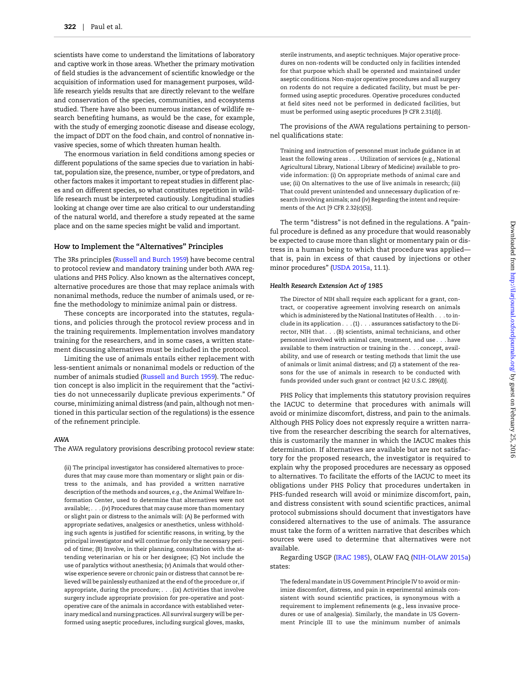scientists have come to understand the limitations of laboratory and captive work in those areas. Whether the primary motivation of field studies is the advancement of scientific knowledge or the acquisition of information used for management purposes, wildlife research yields results that are directly relevant to the welfare and conservation of the species, communities, and ecosystems studied. There have also been numerous instances of wildlife research benefiting humans, as would be the case, for example, with the study of emerging zoonotic disease and disease ecology, the impact of DDT on the food chain, and control of nonnative invasive species, some of which threaten human health.

The enormous variation in field conditions among species or different populations of the same species due to variation in habitat, population size, the presence, number, or type of predators, and other factors makes it important to repeat studies in different places and on different species, so what constitutes repetition in wildlife research must be interpreted cautiously. Longitudinal studies looking at change over time are also critical to our understanding of the natural world, and therefore a study repeated at the same place and on the same species might be valid and important.

#### How to Implement the "Alternatives" Principles

The 3Rs principles [\(Russell and Burch 1959\)](#page-22-0) have become central to protocol review and mandatory training under both AWA regulations and PHS Policy. Also known as the alternatives concept, alternative procedures are those that may replace animals with nonanimal methods, reduce the number of animals used, or refine the methodology to minimize animal pain or distress.

These concepts are incorporated into the statutes, regulations, and policies through the protocol review process and in the training requirements. Implementation involves mandatory training for the researchers, and in some cases, a written statement discussing alternatives must be included in the protocol.

Limiting the use of animals entails either replacement with less-sentient animals or nonanimal models or reduction of the number of animals studied ([Russell and Burch 1959\)](#page-22-0). The reduction concept is also implicit in the requirement that the "activities do not unnecessarily duplicate previous experiments." Of course, minimizing animal distress (and pain, although not mentioned in this particular section of the regulations) is the essence of the refinement principle.

#### AWA

The AWA regulatory provisions describing protocol review state:

(ii) The principal investigator has considered alternatives to procedures that may cause more than momentary or slight pain or distress to the animals, and has provided a written narrative description of the methods and sources, e.g., the Animal Welfare Information Center, used to determine that alternatives were not available; . . . (iv) Procedures that may cause more than momentary or slight pain or distress to the animals will: (A) Be performed with appropriate sedatives, analgesics or anesthetics, unless withholding such agents is justified for scientific reasons, in writing, by the principal investigator and will continue for only the necessary period of time; (B) Involve, in their planning, consultation with the attending veterinarian or his or her designee; (C) Not include the use of paralytics without anesthesia; (v) Animals that would otherwise experience severe or chronic pain or distress that cannot be relieved will be painlessly euthanized at the end of the procedure or, if appropriate, during the procedure; . . . (ix) Activities that involve surgery include appropriate provision for pre-operative and postoperative care of the animals in accordance with established veterinary medical and nursing practices. All survival surgery will be performed using aseptic procedures, including surgical gloves, masks, sterile instruments, and aseptic techniques. Major operative procedures on non-rodents will be conducted only in facilities intended for that purpose which shall be operated and maintained under aseptic conditions. Non-major operative procedures and all surgery on rodents do not require a dedicated facility, but must be performed using aseptic procedures. Operative procedures conducted at field sites need not be performed in dedicated facilities, but must be performed using aseptic procedures [9 CFR 2.31(d)].

The provisions of the AWA regulations pertaining to personnel qualifications state:

Training and instruction of personnel must include guidance in at least the following areas . . . Utilization of services (e.g., National Agricultural Library, National Library of Medicine) available to provide information: (i) On appropriate methods of animal care and use; (ii) On alternatives to the use of live animals in research; (iii) That could prevent unintended and unnecessary duplication of research involving animals; and (iv) Regarding the intent and requirements of the Act [9 CFR 2.32(c)(5)].

The term "distress" is not defined in the regulations. A "painful procedure is defined as any procedure that would reasonably be expected to cause more than slight or momentary pain or distress in a human being to which that procedure was applied that is, pain in excess of that caused by injections or other minor procedures" ([USDA 2015a,](#page-22-0) 11.1).

#### Health Research Extension Act of 1985

The Director of NIH shall require each applicant for a grant, contract, or cooperative agreement involving research on animals which is administered by the National Institutes of Health . . . to include in its application . . . (1) . . . assurances satisfactory to the Director, NIH that . . . (B) scientists, animal technicians, and other personnel involved with animal care, treatment, and use . . . have available to them instruction or training in the . . . concept, availability, and use of research or testing methods that limit the use of animals or limit animal distress; and (2) a statement of the reasons for the use of animals in research to be conducted with funds provided under such grant or contract [42 U.S.C. 289(d)].

PHS Policy that implements this statutory provision requires the IACUC to determine that procedures with animals will avoid or minimize discomfort, distress, and pain to the animals. Although PHS Policy does not expressly require a written narrative from the researcher describing the search for alternatives, this is customarily the manner in which the IACUC makes this determination. If alternatives are available but are not satisfactory for the proposed research, the investigator is required to explain why the proposed procedures are necessary as opposed to alternatives. To facilitate the efforts of the IACUC to meet its obligations under PHS Policy that procedures undertaken in PHS-funded research will avoid or minimize discomfort, pain, and distress consistent with sound scientific practices, animal protocol submissions should document that investigators have considered alternatives to the use of animals. The assurance must take the form of a written narrative that describes which sources were used to determine that alternatives were not available.

Regarding USGP ([IRAC 1985](#page-22-0)), OLAW FAQ ([NIH-OLAW 2015a\)](#page-22-0) states:

The federal mandate in US Government Principle IV to avoid or minimize discomfort, distress, and pain in experimental animals consistent with sound scientific practices, is synonymous with a requirement to implement refinements (e.g., less invasive procedures or use of analgesia). Similarly, the mandate in US Government Principle III to use the minimum number of animals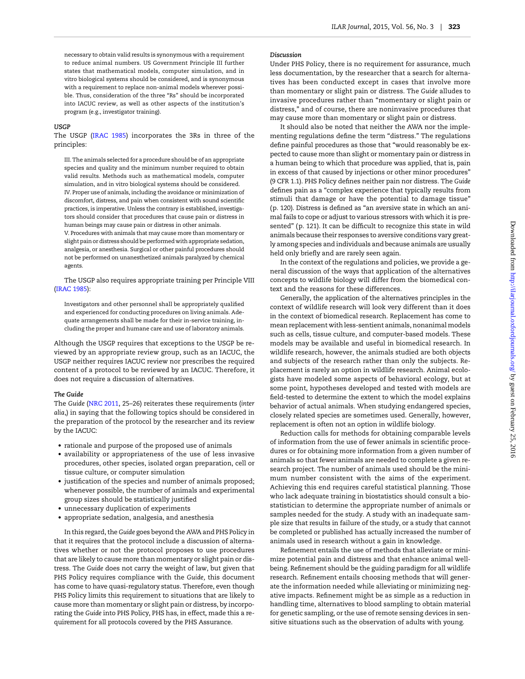#### USGP

The USGP ([IRAC 1985](#page-22-0)) incorporates the 3Rs in three of the principles:

III. The animals selected for a procedure should be of an appropriate species and quality and the minimum number required to obtain valid results. Methods such as mathematical models, computer simulation, and in vitro biological systems should be considered. IV. Proper use of animals, including the avoidance or minimization of discomfort, distress, and pain when consistent with sound scientific practices, is imperative. Unless the contrary is established, investigators should consider that procedures that cause pain or distress in human beings may cause pain or distress in other animals. V. Procedures with animals that may cause more than momentary or slight pain or distress should be performed with appropriate sedation, analgesia, or anesthesia. Surgical or other painful procedures should not be performed on unanesthetized animals paralyzed by chemical agents.

The USGP also requires appropriate training per Principle VIII [\(IRAC 1985\)](#page-22-0):

Investigators and other personnel shall be appropriately qualified and experienced for conducting procedures on living animals. Adequate arrangements shall be made for their in-service training, including the proper and humane care and use of laboratory animals.

Although the USGP requires that exceptions to the USGP be reviewed by an appropriate review group, such as an IACUC, the USGP neither requires IACUC review nor prescribes the required content of a protocol to be reviewed by an IACUC. Therefore, it does not require a discussion of alternatives.

## The Guide

The Guide [\(NRC 2011](#page-22-0), 25–26) reiterates these requirements (inter alia,) in saying that the following topics should be considered in the preparation of the protocol by the researcher and its review by the IACUC:

- rationale and purpose of the proposed use of animals
- availability or appropriateness of the use of less invasive procedures, other species, isolated organ preparation, cell or tissue culture, or computer simulation
- justification of the species and number of animals proposed; whenever possible, the number of animals and experimental group sizes should be statistically justified
- unnecessary duplication of experiments
- appropriate sedation, analgesia, and anesthesia

In this regard, the Guide goes beyond the AWA and PHS Policy in that it requires that the protocol include a discussion of alternatives whether or not the protocol proposes to use procedures that are likely to cause more than momentary or slight pain or distress. The Guide does not carry the weight of law, but given that PHS Policy requires compliance with the Guide, this document has come to have quasi-regulatory status. Therefore, even though PHS Policy limits this requirement to situations that are likely to cause more than momentary or slight pain or distress, by incorporating the Guide into PHS Policy, PHS has, in effect, made this a requirement for all protocols covered by the PHS Assurance.

## Discussion

Under PHS Policy, there is no requirement for assurance, much less documentation, by the researcher that a search for alternatives has been conducted except in cases that involve more than momentary or slight pain or distress. The Guide alludes to invasive procedures rather than "momentary or slight pain or distress," and of course, there are noninvasive procedures that may cause more than momentary or slight pain or distress.

It should also be noted that neither the AWA nor the implementing regulations define the term "distress." The regulations define painful procedures as those that "would reasonably be expected to cause more than slight or momentary pain or distress in a human being to which that procedure was applied, that is, pain in excess of that caused by injections or other minor procedures" (9 CFR 1.1). PHS Policy defines neither pain nor distress. The Guide defines pain as a "complex experience that typically results from stimuli that damage or have the potential to damage tissue" (p. 120). Distress is defined as "an aversive state in which an animal fails to cope or adjust to various stressors with which it is presented" (p. 121). It can be difficult to recognize this state in wild animals because their responses to aversive conditions vary greatly among species and individuals and because animals are usually held only briefly and are rarely seen again.

In the context of the regulations and policies, we provide a general discussion of the ways that application of the alternatives concepts to wildlife biology will differ from the biomedical context and the reasons for these differences.

Generally, the application of the alternatives principles in the context of wildlife research will look very different than it does in the context of biomedical research. Replacement has come to mean replacement with less-sentient animals, nonanimal models such as cells, tissue culture, and computer-based models. These models may be available and useful in biomedical research. In wildlife research, however, the animals studied are both objects and subjects of the research rather than only the subjects. Replacement is rarely an option in wildlife research. Animal ecologists have modeled some aspects of behavioral ecology, but at some point, hypotheses developed and tested with models are field-tested to determine the extent to which the model explains behavior of actual animals. When studying endangered species, closely related species are sometimes used. Generally, however, replacement is often not an option in wildlife biology.

Reduction calls for methods for obtaining comparable levels of information from the use of fewer animals in scientific procedures or for obtaining more information from a given number of animals so that fewer animals are needed to complete a given research project. The number of animals used should be the minimum number consistent with the aims of the experiment. Achieving this end requires careful statistical planning. Those who lack adequate training in biostatistics should consult a biostatistician to determine the appropriate number of animals or samples needed for the study. A study with an inadequate sample size that results in failure of the study, or a study that cannot be completed or published has actually increased the number of animals used in research without a gain in knowledge.

Refinement entails the use of methods that alleviate or minimize potential pain and distress and that enhance animal wellbeing. Refinement should be the guiding paradigm for all wildlife research. Refinement entails choosing methods that will generate the information needed while alleviating or minimizing negative impacts. Refinement might be as simple as a reduction in handling time, alternatives to blood sampling to obtain material for genetic sampling, or the use of remote sensing devices in sensitive situations such as the observation of adults with young.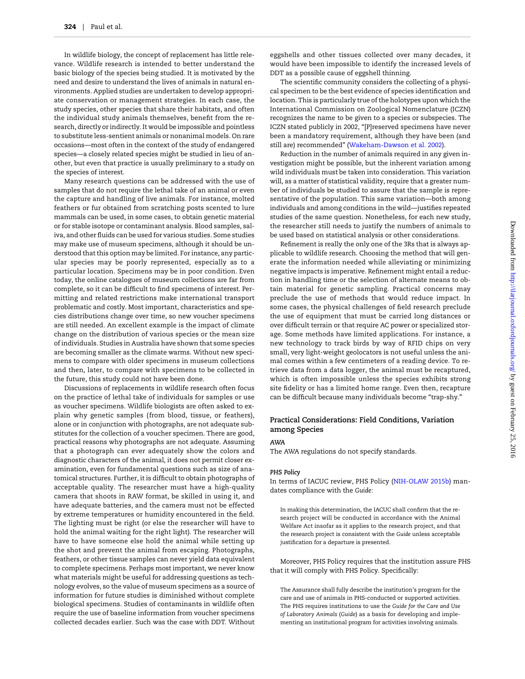In wildlife biology, the concept of replacement has little relevance. Wildlife research is intended to better understand the basic biology of the species being studied. It is motivated by the need and desire to understand the lives of animals in natural environments. Applied studies are undertaken to develop appropriate conservation or management strategies. In each case, the study species, other species that share their habitats, and often the individual study animals themselves, benefit from the research, directly or indirectly. It would be impossible and pointless to substitute less-sentient animals or nonanimal models. On rare occasions—most often in the context of the study of endangered species—a closely related species might be studied in lieu of another, but even that practice is usually preliminary to a study on the species of interest.

Many research questions can be addressed with the use of samples that do not require the lethal take of an animal or even the capture and handling of live animals. For instance, molted feathers or fur obtained from scratching posts scented to lure mammals can be used, in some cases, to obtain genetic material or for stable isotope or contaminant analysis. Blood samples, saliva, and other fluids can be used for various studies. Some studies may make use of museum specimens, although it should be understood that this option may be limited. For instance, any particular species may be poorly represented, especially as to a particular location. Specimens may be in poor condition. Even today, the online catalogues of museum collections are far from complete, so it can be difficult to find specimens of interest. Permitting and related restrictions make international transport problematic and costly. Most important, characteristics and species distributions change over time, so new voucher specimens are still needed. An excellent example is the impact of climate change on the distribution of various species or the mean size of individuals. Studies in Australia have shown that some species are becoming smaller as the climate warms. Without new specimens to compare with older specimens in museum collections and then, later, to compare with specimens to be collected in the future, this study could not have been done.

Discussions of replacements in wildlife research often focus on the practice of lethal take of individuals for samples or use as voucher specimens. Wildlife biologists are often asked to explain why genetic samples (from blood, tissue, or feathers), alone or in conjunction with photographs, are not adequate substitutes for the collection of a voucher specimen. There are good, practical reasons why photographs are not adequate. Assuming that a photograph can ever adequately show the colors and diagnostic characters of the animal, it does not permit closer examination, even for fundamental questions such as size of anatomical structures. Further, it is difficult to obtain photographs of acceptable quality. The researcher must have a high-quality camera that shoots in RAW format, be skilled in using it, and have adequate batteries, and the camera must not be effected by extreme temperatures or humidity encountered in the field. The lighting must be right (or else the researcher will have to hold the animal waiting for the right light). The researcher will have to have someone else hold the animal while setting up the shot and prevent the animal from escaping. Photographs, feathers, or other tissue samples can never yield data equivalent to complete specimens. Perhaps most important, we never know what materials might be useful for addressing questions as technology evolves, so the value of museum specimens as a source of information for future studies is diminished without complete biological specimens. Studies of contaminants in wildlife often require the use of baseline information from voucher specimens collected decades earlier. Such was the case with DDT. Without

eggshells and other tissues collected over many decades, it would have been impossible to identify the increased levels of DDT as a possible cause of eggshell thinning.

The scientific community considers the collecting of a physical specimen to be the best evidence of species identification and location. This is particularly true of the holotypes upon which the International Commission on Zoological Nomenclature (ICZN) recognizes the name to be given to a species or subspecies. The ICZN stated publicly in 2002, "[P]reserved specimens have never been a mandatory requirement, although they have been (and still are) recommended" [\(Wakeham-Dawson et al. 2002\)](#page-22-0).

Reduction in the number of animals required in any given investigation might be possible, but the inherent variation among wild individuals must be taken into consideration. This variation will, as a matter of statistical validity, require that a greater number of individuals be studied to assure that the sample is representative of the population. This same variation—both among individuals and among conditions in the wild—justifies repeated studies of the same question. Nonetheless, for each new study, the researcher still needs to justify the numbers of animals to be used based on statistical analysis or other considerations.

Refinement is really the only one of the 3Rs that is always applicable to wildlife research. Choosing the method that will generate the information needed while alleviating or minimizing negative impacts is imperative. Refinement might entail a reduction in handling time or the selection of alternate means to obtain material for genetic sampling. Practical concerns may preclude the use of methods that would reduce impact. In some cases, the physical challenges of field research preclude the use of equipment that must be carried long distances or over difficult terrain or that require AC power or specialized storage. Some methods have limited applications. For instance, a new technology to track birds by way of RFID chips on very small, very light-weight geolocators is not useful unless the animal comes within a few centimeters of a reading device. To retrieve data from a data logger, the animal must be recaptured, which is often impossible unless the species exhibits strong site fidelity or has a limited home range. Even then, recapture can be difficult because many individuals become "trap-shy."

## Practical Considerations: Field Conditions, Variation among Species

#### AWA

The AWA regulations do not specify standards.

#### PHS Policy

In terms of IACUC review, PHS Policy ([NIH-OLAW 2015b\)](#page-22-0) mandates compliance with the Guide:

In making this determination, the IACUC shall confirm that the research project will be conducted in accordance with the Animal Welfare Act insofar as it applies to the research project, and that the research project is consistent with the Guide unless acceptable justification for a departure is presented.

Moreover, PHS Policy requires that the institution assure PHS that it will comply with PHS Policy. Specifically:

The Assurance shall fully describe the institution's program for the care and use of animals in PHS-conducted or supported activities. The PHS requires institutions to use the Guide for the Care and Use of Laboratory Animals (Guide) as a basis for developing and implementing an institutional program for activities involving animals.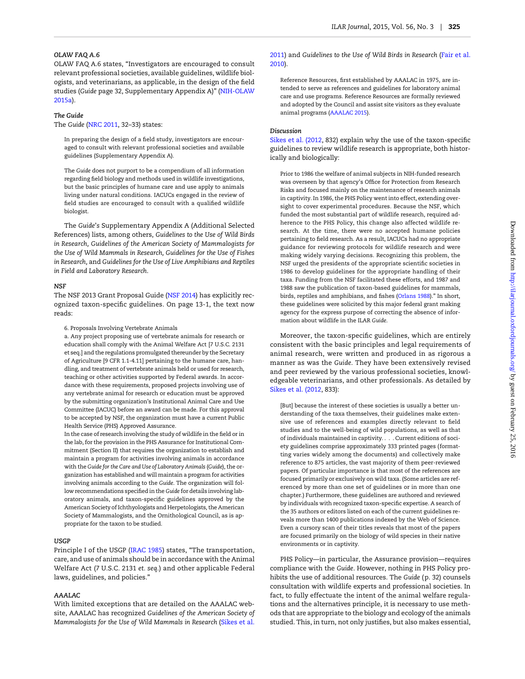## OLAW FAQ A.6

OLAW FAQ A.6 states, "Investigators are encouraged to consult relevant professional societies, available guidelines, wildlife biologists, and veterinarians, as applicable, in the design of the field studies (Guide page 32, [Supplementary Appendix A](http://ilarjournal.oxfordjournals.org/lookup/suppl/doi:10.1093/ilar/ilv073/-/DC1))" ([NIH-OLAW](#page-22-0) [2015a\)](#page-22-0).

## The Guide

The Guide ([NRC 2011](#page-22-0), 32–33) states:

In preparing the design of a field study, investigators are encouraged to consult with relevant professional societies and available guidelines ([Supplementary Appendix A](http://ilarjournal.oxfordjournals.org/lookup/suppl/doi:10.1093/ilar/ilv073/-/DC1)).

The Guide does not purport to be a compendium of all information regarding field biology and methods used in wildlife investigations, but the basic principles of humane care and use apply to animals living under natural conditions. IACUCs engaged in the review of field studies are encouraged to consult with a qualified wildlife biologist.

The Guide's [Supplementary Appendix A](http://ilarjournal.oxfordjournals.org/lookup/suppl/doi:10.1093/ilar/ilv073/-/DC1) (Additional Selected References) lists, among others, Guidelines to the Use of Wild Birds in Research, Guidelines of the American Society of Mammalogists for the Use of Wild Mammals in Research, Guidelines for the Use of Fishes in Research, and Guidelines for the Use of Live Amphibians and Reptiles in Field and Laboratory Research.

## **NSF**

The NSF 2013 Grant Proposal Guide [\(NSF 2014](#page-22-0)) has explicitly recognized taxon-specific guidelines. On page 13-1, the text now reads:

## 6. Proposals Involving Vertebrate Animals

a. Any project proposing use of vertebrate animals for research or education shall comply with the Animal Welfare Act [7 U.S.C. 2131 et seq.] and the regulations promulgated thereunder by the Secretary of Agriculture [9 CFR 1.1-4.11] pertaining to the humane care, handling, and treatment of vertebrate animals held or used for research, teaching or other activities supported by Federal awards. In accordance with these requirements, proposed projects involving use of any vertebrate animal for research or education must be approved by the submitting organization's Institutional Animal Care and Use Committee (IACUC) before an award can be made. For this approval to be accepted by NSF, the organization must have a current Public Health Service (PHS) Approved Assurance.

In the case of research involving the study of wildlife in the field or in the lab, for the provision in the PHS Assurance for Institutional Commitment (Section II) that requires the organization to establish and maintain a program for activities involving animals in accordance with the Guide for the Care and Use of Laboratory Animals (Guide), the organization has established and will maintain a program for activities involving animals according to the Guide. The organization will follow recommendations specified in the Guide for details involving laboratory animals, and taxon-specific guidelines approved by the American Society of Ichthyologists and Herpetologists, the American Society of Mammalogists, and the Ornithological Council, as is appropriate for the taxon to be studied.

## **USGP**

Principle I of the USGP [\(IRAC 1985](#page-22-0)) states, "The transportation, care, and use of animals should be in accordance with the Animal Welfare Act (7 U.S.C. 2131 et. seq.) and other applicable Federal laws, guidelines, and policies."

## AAALAC

With limited exceptions that are detailed on the AAALAC website, AAALAC has recognized Guidelines of the American Society of Mammalogists for the Use of Wild Mammals in Research ([Sikes et al.](#page-22-0)

[2011\)](#page-22-0) and Guidelines to the Use of Wild Birds in Research ([Fair et al.](#page-21-0) [2010\)](#page-21-0).

Reference Resources, first established by AAALAC in 1975, are intended to serve as references and guidelines for laboratory animal care and use programs. Reference Resources are formally reviewed and adopted by the Council and assist site visitors as they evaluate animal programs [\(AAALAC 2015](#page-21-0)).

## Discussion

[Sikes et al. \(2012](#page-22-0), 832) explain why the use of the taxon-specific guidelines to review wildlife research is appropriate, both historically and biologically:

Prior to 1986 the welfare of animal subjects in NIH-funded research was overseen by that agency's Office for Protection from Research Risks and focused mainly on the maintenance of research animals in captivity. In 1986, the PHS Policy went into effect, extending oversight to cover experimental procedures. Because the NSF, which funded the most substantial part of wildlife research, required adherence to the PHS Policy, this change also affected wildlife research. At the time, there were no accepted humane policies pertaining to field research. As a result, IACUCs had no appropriate guidance for reviewing protocols for wildlife research and were making widely varying decisions. Recognizing this problem, the NSF urged the presidents of the appropriate scientific societies in 1986 to develop guidelines for the appropriate handling of their taxa. Funding from the NSF facilitated these efforts, and 1987 and 1988 saw the publication of taxon-based guidelines for mammals, birds, reptiles and amphibians, and fishes [\(Orlans 1988\)](#page-22-0)." In short, these guidelines were solicited by this major federal grant making agency for the express purpose of correcting the absence of information about wildlife in the ILAR Guide.

Moreover, the taxon-specific guidelines, which are entirely consistent with the basic principles and legal requirements of animal research, were written and produced in as rigorous a manner as was the Guide. They have been extensively revised and peer reviewed by the various professional societies, knowledgeable veterinarians, and other professionals. As detailed by [Sikes et al. \(2012,](#page-22-0) 833):

[But] because the interest of these societies is usually a better understanding of the taxa themselves, their guidelines make extensive use of references and examples directly relevant to field studies and to the well-being of wild populations, as well as that of individuals maintained in captivity. . . . Current editions of society guidelines comprise approximately 333 printed pages (formatting varies widely among the documents) and collectively make reference to 875 articles, the vast majority of them peer-reviewed papers. Of particular importance is that most of the references are focused primarily or exclusively on wild taxa. (Some articles are referenced by more than one set of guidelines or in more than one chapter.) Furthermore, these guidelines are authored and reviewed by individuals with recognized taxon-specific expertise. A search of the 35 authors or editors listed on each of the current guidelines reveals more than 1400 publications indexed by the Web of Science. Even a cursory scan of their titles reveals that most of the papers are focused primarily on the biology of wild species in their native environments or in captivity.

PHS Policy—in particular, the Assurance provision—requires compliance with the Guide. However, nothing in PHS Policy prohibits the use of additional resources. The Guide (p. 32) counsels consultation with wildlife experts and professional societies. In fact, to fully effectuate the intent of the animal welfare regulations and the alternatives principle, it is necessary to use methods that are appropriate to the biology and ecology of the animals studied. This, in turn, not only justifies, but also makes essential,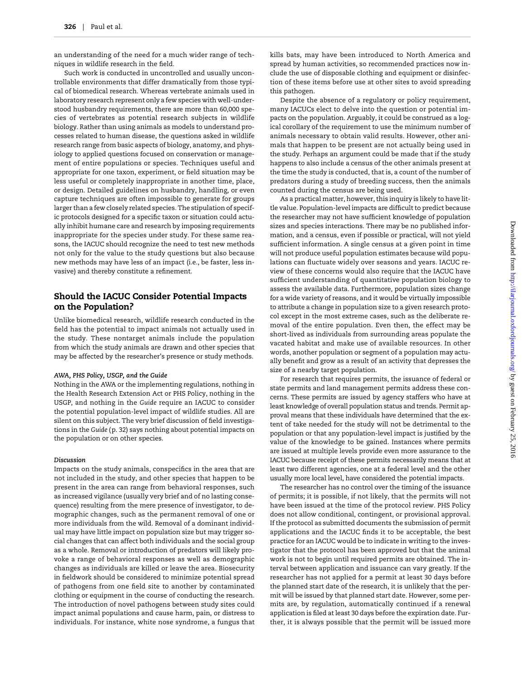an understanding of the need for a much wider range of techniques in wildlife research in the field.

Such work is conducted in uncontrolled and usually uncontrollable environments that differ dramatically from those typical of biomedical research. Whereas vertebrate animals used in laboratory research represent only a few species with well-understood husbandry requirements, there are more than 60,000 species of vertebrates as potential research subjects in wildlife biology. Rather than using animals as models to understand processes related to human disease, the questions asked in wildlife research range from basic aspects of biology, anatomy, and physiology to applied questions focused on conservation or management of entire populations or species. Techniques useful and appropriate for one taxon, experiment, or field situation may be less useful or completely inappropriate in another time, place, or design. Detailed guidelines on husbandry, handling, or even capture techniques are often impossible to generate for groups larger than a few closely related species. The stipulation of specific protocols designed for a specific taxon or situation could actually inhibit humane care and research by imposing requirements inappropriate for the species under study. For these same reasons, the IACUC should recognize the need to test new methods not only for the value to the study questions but also because new methods may have less of an impact (i.e., be faster, less invasive) and thereby constitute a refinement.

# Should the IACUC Consider Potential Impacts on the Population?

Unlike biomedical research, wildlife research conducted in the field has the potential to impact animals not actually used in the study. These nontarget animals include the population from which the study animals are drawn and other species that may be affected by the researcher's presence or study methods.

## AWA, PHS Policy, USGP, and the Guide

Nothing in the AWA or the implementing regulations, nothing in the Health Research Extension Act or PHS Policy, nothing in the USGP, and nothing in the Guide require an IACUC to consider the potential population-level impact of wildlife studies. All are silent on this subject. The very brief discussion of field investigations in the Guide (p. 32) says nothing about potential impacts on the population or on other species.

## Discussion

Impacts on the study animals, conspecifics in the area that are not included in the study, and other species that happen to be present in the area can range from behavioral responses, such as increased vigilance (usually very brief and of no lasting consequence) resulting from the mere presence of investigator, to demographic changes, such as the permanent removal of one or more individuals from the wild. Removal of a dominant individual may have little impact on population size but may trigger social changes that can affect both individuals and the social group as a whole. Removal or introduction of predators will likely provoke a range of behavioral responses as well as demographic changes as individuals are killed or leave the area. Biosecurity in fieldwork should be considered to minimize potential spread of pathogens from one field site to another by contaminated clothing or equipment in the course of conducting the research. The introduction of novel pathogens between study sites could impact animal populations and cause harm, pain, or distress to individuals. For instance, white nose syndrome, a fungus that kills bats, may have been introduced to North America and spread by human activities, so recommended practices now include the use of disposable clothing and equipment or disinfection of these items before use at other sites to avoid spreading this pathogen.

Despite the absence of a regulatory or policy requirement, many IACUCs elect to delve into the question or potential impacts on the population. Arguably, it could be construed as a logical corollary of the requirement to use the minimum number of animals necessary to obtain valid results. However, other animals that happen to be present are not actually being used in the study. Perhaps an argument could be made that if the study happens to also include a census of the other animals present at the time the study is conducted, that is, a count of the number of predators during a study of breeding success, then the animals counted during the census are being used.

As a practical matter, however, this inquiry is likely to have little value. Population-level impacts are difficult to predict because the researcher may not have sufficient knowledge of population sizes and species interactions. There may be no published information, and a census, even if possible or practical, will not yield sufficient information. A single census at a given point in time will not produce useful population estimates because wild populations can fluctuate widely over seasons and years. IACUC review of these concerns would also require that the IACUC have sufficient understanding of quantitative population biology to assess the available data. Furthermore, population sizes change for a wide variety of reasons, and it would be virtually impossible to attribute a change in population size to a given research protocol except in the most extreme cases, such as the deliberate removal of the entire population. Even then, the effect may be short-lived as individuals from surrounding areas populate the vacated habitat and make use of available resources. In other words, another population or segment of a population may actually benefit and grow as a result of an activity that depresses the size of a nearby target population.

For research that requires permits, the issuance of federal or state permits and land management permits address these concerns. These permits are issued by agency staffers who have at least knowledge of overall population status and trends. Permit approval means that these individuals have determined that the extent of take needed for the study will not be detrimental to the population or that any population-level impact is justified by the value of the knowledge to be gained. Instances where permits are issued at multiple levels provide even more assurance to the IACUC because receipt of these permits necessarily means that at least two different agencies, one at a federal level and the other usually more local level, have considered the potential impacts.

The researcher has no control over the timing of the issuance of permits; it is possible, if not likely, that the permits will not have been issued at the time of the protocol review. PHS Policy does not allow conditional, contingent, or provisional approval. If the protocol as submitted documents the submission of permit applications and the IACUC finds it to be acceptable, the best practice for an IACUC would be to indicate in writing to the investigator that the protocol has been approved but that the animal work is not to begin until required permits are obtained. The interval between application and issuance can vary greatly. If the researcher has not applied for a permit at least 30 days before the planned start date of the research, it is unlikely that the permit will be issued by that planned start date. However, some permits are, by regulation, automatically continued if a renewal application is filed at least 30 days before the expiration date. Further, it is always possible that the permit will be issued more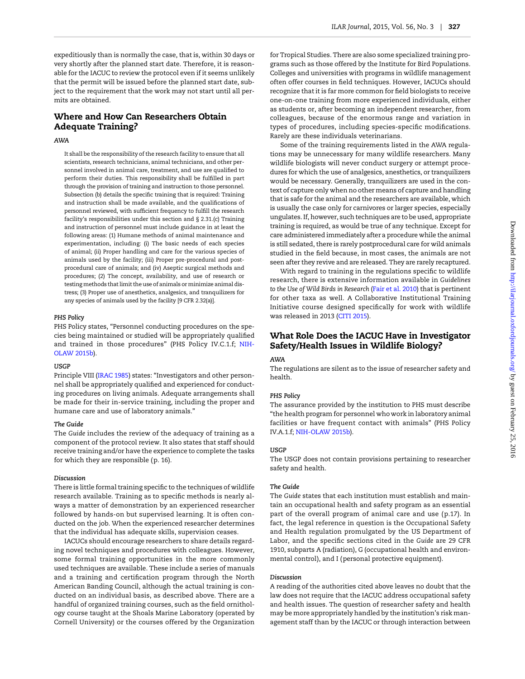expeditiously than is normally the case, that is, within 30 days or very shortly after the planned start date. Therefore, it is reasonable for the IACUC to review the protocol even if it seems unlikely that the permit will be issued before the planned start date, subject to the requirement that the work may not start until all permits are obtained.

# Where and How Can Researchers Obtain Adequate Training?

## AWA

It shall be the responsibility of the research facility to ensure that all scientists, research technicians, animal technicians, and other personnel involved in animal care, treatment, and use are qualified to perform their duties. This responsibility shall be fulfilled in part through the provision of training and instruction to those personnel. Subsection (b) details the specific training that is required: Training and instruction shall be made available, and the qualifications of personnel reviewed, with sufficient frequency to fulfill the research facility's responsibilities under this section and § 2.31.(c) Training and instruction of personnel must include guidance in at least the following areas: (1) Humane methods of animal maintenance and experimentation, including: (i) The basic needs of each species of animal; (ii) Proper handling and care for the various species of animals used by the facility; (iii) Proper pre-procedural and postprocedural care of animals; and (iv) Aseptic surgical methods and procedures; (2) The concept, availability, and use of research or testing methods that limit the use of animals or minimize animal distress; (3) Proper use of anesthetics, analgesics, and tranquilizers for any species of animals used by the facility [9 CFR 2.32(a)].

## PHS Policy

PHS Policy states, "Personnel conducting procedures on the species being maintained or studied will be appropriately qualified and trained in those procedures" (PHS Policy IV.C.1.f; [NIH-](#page-22-0)[OLAW 2015b\)](#page-22-0).

## **USGP**

Principle VIII ([IRAC 1985\)](#page-22-0) states: "Investigators and other personnel shall be appropriately qualified and experienced for conducting procedures on living animals. Adequate arrangements shall be made for their in-service training, including the proper and humane care and use of laboratory animals."

## The Guide

The Guide includes the review of the adequacy of training as a component of the protocol review. It also states that staff should receive training and/or have the experience to complete the tasks for which they are responsible (p. 16).

#### Discussion

There is little formal training specific to the techniques of wildlife research available. Training as to specific methods is nearly always a matter of demonstration by an experienced researcher followed by hands-on but supervised learning. It is often conducted on the job. When the experienced researcher determines that the individual has adequate skills, supervision ceases.

IACUCs should encourage researchers to share details regarding novel techniques and procedures with colleagues. However, some formal training opportunities in the more commonly used techniques are available. These include a series of manuals and a training and certification program through the North American Banding Council, although the actual training is conducted on an individual basis, as described above. There are a handful of organized training courses, such as the field ornithology course taught at the Shoals Marine Laboratory (operated by Cornell University) or the courses offered by the Organization for Tropical Studies. There are also some specialized training programs such as those offered by the Institute for Bird Populations. Colleges and universities with programs in wildlife management often offer courses in field techniques. However, IACUCs should recognize that it is far more common for field biologists to receive one-on-one training from more experienced individuals, either as students or, after becoming an independent researcher, from colleagues, because of the enormous range and variation in types of procedures, including species-specific modifications. Rarely are these individuals veterinarians.

Some of the training requirements listed in the AWA regulations may be unnecessary for many wildlife researchers. Many wildlife biologists will never conduct surgery or attempt procedures for which the use of analgesics, anesthetics, or tranquilizers would be necessary. Generally, tranquilizers are used in the context of capture only when no other means of capture and handling that is safe for the animal and the researchers are available, which is usually the case only for carnivores or larger species, especially ungulates. If, however, such techniques are to be used, appropriate training is required, as would be true of any technique. Except for care administered immediately after a procedure while the animal is still sedated, there is rarely postprocedural care for wild animals studied in the field because, in most cases, the animals are not seen after they revive and are released. They are rarely recaptured.

With regard to training in the regulations specific to wildlife research, there is extensive information available in Guidelines to the Use of Wild Birds in Research ([Fair et al. 2010](#page-21-0)) that is pertinent for other taxa as well. A Collaborative Institutional Training Initiative course designed specifically for work with wildlife was released in 2013 ([CITI 2015](#page-21-0)).

# What Role Does the IACUC Have in Investigator Safety/Health Issues in Wildlife Biology?

## AWA

The regulations are silent as to the issue of researcher safety and health.

#### PHS Policy

The assurance provided by the institution to PHS must describe "the health program for personnel who work in laboratory animal facilities or have frequent contact with animals" (PHS Policy IV.A.1.f; [NIH-OLAW 2015b](#page-22-0)).

#### USGP

The USGP does not contain provisions pertaining to researcher safety and health.

#### The Guide

The Guide states that each institution must establish and maintain an occupational health and safety program as an essential part of the overall program of animal care and use (p.17). In fact, the legal reference in question is the Occupational Safety and Health regulation promulgated by the US Department of Labor, and the specific sections cited in the Guide are 29 CFR 1910, subparts A (radiation), G (occupational health and environmental control), and I (personal protective equipment).

#### Discussion

A reading of the authorities cited above leaves no doubt that the law does not require that the IACUC address occupational safety and health issues. The question of researcher safety and health may be more appropriately handled by the institution's risk management staff than by the IACUC or through interaction between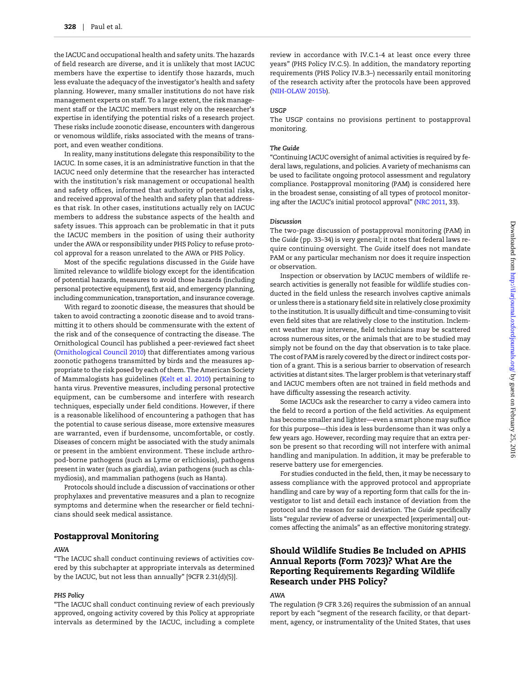the IACUC and occupational health and safety units. The hazards of field research are diverse, and it is unlikely that most IACUC members have the expertise to identify those hazards, much less evaluate the adequacy of the investigator's health and safety planning. However, many smaller institutions do not have risk management experts on staff. To a large extent, the risk management staff or the IACUC members must rely on the researcher's expertise in identifying the potential risks of a research project. These risks include zoonotic disease, encounters with dangerous or venomous wildlife, risks associated with the means of transport, and even weather conditions.

In reality, many institutions delegate this responsibility to the IACUC. In some cases, it is an administrative function in that the IACUC need only determine that the researcher has interacted with the institution's risk management or occupational health and safety offices, informed that authority of potential risks, and received approval of the health and safety plan that addresses that risk. In other cases, institutions actually rely on IACUC members to address the substance aspects of the health and safety issues. This approach can be problematic in that it puts the IACUC members in the position of using their authority under the AWA or responsibility under PHS Policy to refuse protocol approval for a reason unrelated to the AWA or PHS Policy.

Most of the specific regulations discussed in the Guide have limited relevance to wildlife biology except for the identification of potential hazards, measures to avoid those hazards (including personal protective equipment), first aid, and emergency planning, including communication, transportation, and insurance coverage.

With regard to zoonotic disease, the measures that should be taken to avoid contracting a zoonotic disease and to avoid transmitting it to others should be commensurate with the extent of the risk and of the consequence of contracting the disease. The Ornithological Council has published a peer-reviewed fact sheet [\(Ornithological Council 2010\)](#page-22-0) that differentiates among various zoonotic pathogens transmitted by birds and the measures appropriate to the risk posed by each of them. The American Society of Mammalogists has guidelines ([Kelt et al. 2010\)](#page-22-0) pertaining to hanta virus. Preventive measures, including personal protective equipment, can be cumbersome and interfere with research techniques, especially under field conditions. However, if there is a reasonable likelihood of encountering a pathogen that has the potential to cause serious disease, more extensive measures are warranted, even if burdensome, uncomfortable, or costly. Diseases of concern might be associated with the study animals or present in the ambient environment. These include arthropod-borne pathogens (such as Lyme or erlichiosis), pathogens present in water (such as giardia), avian pathogens (such as chlamydiosis), and mammalian pathogens (such as Hanta).

Protocols should include a discussion of vaccinations or other prophylaxes and preventative measures and a plan to recognize symptoms and determine when the researcher or field technicians should seek medical assistance.

## Postapproval Monitoring

#### AWA

"The IACUC shall conduct continuing reviews of activities covered by this subchapter at appropriate intervals as determined by the IACUC, but not less than annually" [9CFR 2.31(d)(5)].

#### PHS Policy

"The IACUC shall conduct continuing review of each previously approved, ongoing activity covered by this Policy at appropriate intervals as determined by the IACUC, including a complete review in accordance with IV.C.1-4 at least once every three years" (PHS Policy IV.C.5). In addition, the mandatory reporting requirements (PHS Policy IV.B.3–) necessarily entail monitoring of the research activity after the protocols have been approved [\(NIH-OLAW 2015b](#page-22-0)).

## USGP

The USGP contains no provisions pertinent to postapproval monitoring.

#### The Guide

"Continuing IACUC oversight of animal activities is required by federal laws, regulations, and policies. A variety of mechanisms can be used to facilitate ongoing protocol assessment and regulatory compliance. Postapproval monitoring (PAM) is considered here in the broadest sense, consisting of all types of protocol monitoring after the IACUC's initial protocol approval" ([NRC 2011,](#page-22-0) 33).

## Discussion

The two-page discussion of postapproval monitoring (PAM) in the Guide (pp. 33–34) is very general; it notes that federal laws require continuing oversight. The Guide itself does not mandate PAM or any particular mechanism nor does it require inspection or observation.

Inspection or observation by IACUC members of wildlife research activities is generally not feasible for wildlife studies conducted in the field unless the research involves captive animals or unless there is a stationary field site in relatively close proximity to the institution. It is usually difficult and time-consuming to visit even field sites that are relatively close to the institution. Inclement weather may intervene, field technicians may be scattered across numerous sites, or the animals that are to be studied may simply not be found on the day that observation is to take place. The cost of PAM is rarely covered by the direct or indirect costs portion of a grant. This is a serious barrier to observation of research activities at distant sites. The larger problem is that veterinary staff and IACUC members often are not trained in field methods and have difficulty assessing the research activity.

Some IACUCs ask the researcher to carry a video camera into the field to record a portion of the field activities. As equipment has become smaller and lighter—even a smart phone may suffice for this purpose—this idea is less burdensome than it was only a few years ago. However, recording may require that an extra person be present so that recording will not interfere with animal handling and manipulation. In addition, it may be preferable to reserve battery use for emergencies.

For studies conducted in the field, then, it may be necessary to assess compliance with the approved protocol and appropriate handling and care by way of a reporting form that calls for the investigator to list and detail each instance of deviation from the protocol and the reason for said deviation. The Guide specifically lists "regular review of adverse or unexpected [experimental] outcomes affecting the animals" as an effective monitoring strategy.

# Should Wildlife Studies Be Included on APHIS Annual Reports (Form 7023)? What Are the Reporting Requirements Regarding Wildlife Research under PHS Policy?

## AWA

The regulation (9 CFR 3.26) requires the submission of an annual report by each "segment of the research facility, or that department, agency, or instrumentality of the United States, that uses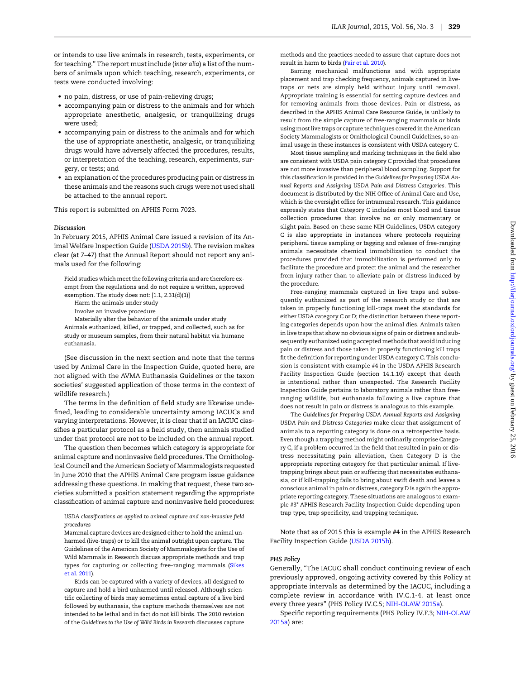or intends to use live animals in research, tests, experiments, or for teaching." The report must include (inter alia) a list of the numbers of animals upon which teaching, research, experiments, or tests were conducted involving:

- no pain, distress, or use of pain-relieving drugs;
- accompanying pain or distress to the animals and for which appropriate anesthetic, analgesic, or tranquilizing drugs were used;
- accompanying pain or distress to the animals and for which the use of appropriate anesthetic, analgesic, or tranquilizing drugs would have adversely affected the procedures, results, or interpretation of the teaching, research, experiments, surgery, or tests; and
- an explanation of the procedures producing pain or distress in these animals and the reasons such drugs were not used shall be attached to the annual report.

This report is submitted on APHIS Form 7023.

#### Discussion

In February 2015, APHIS Animal Care issued a revision of its Animal Welfare Inspection Guide ([USDA 2015b](#page-22-0)). The revision makes clear (at 7–47) that the Annual Report should not report any animals used for the following:

Field studies which meet the following criteria and are therefore exempt from the regulations and do not require a written, approved exemption. The study does not: [1.1, 2.31(d)(1)]

Harm the animals under study

Involve an invasive procedure

Materially alter the behavior of the animals under study Animals euthanized, killed, or trapped, and collected, such as for study or museum samples, from their natural habitat via humane euthanasia.

(See discussion in the next section and note that the terms used by Animal Care in the Inspection Guide, quoted here, are not aligned with the AVMA Euthanasia Guidelines or the taxon societies' suggested application of those terms in the context of wildlife research.)

The terms in the definition of field study are likewise undefined, leading to considerable uncertainty among IACUCs and varying interpretations. However, it is clear that if an IACUC classifies a particular protocol as a field study, then animals studied under that protocol are not to be included on the annual report.

The question then becomes which category is appropriate for animal capture and noninvasive field procedures. The Ornithological Council and the American Society of Mammalogists requested in June 2010 that the APHIS Animal Care program issue guidance addressing these questions. In making that request, these two societies submitted a position statement regarding the appropriate classification of animal capture and noninvasive field procedures:

USDA classifications as applied to animal capture and non-invasive field procedures

Mammal capture devices are designed either to hold the animal unharmed (live-traps) or to kill the animal outright upon capture. The Guidelines of the American Society of Mammalogists for the Use of Wild Mammals in Research discuss appropriate methods and trap types for capturing or collecting free-ranging mammals [\(Sikes](#page-22-0) [et al. 2011\)](#page-22-0).

Birds can be captured with a variety of devices, all designed to capture and hold a bird unharmed until released. Although scientific collecting of birds may sometimes entail capture of a live bird followed by euthanasia, the capture methods themselves are not intended to be lethal and in fact do not kill birds. The 2010 revision of the Guidelines to the Use of Wild Birds in Research discusses capture methods and the practices needed to assure that capture does not result in harm to birds ([Fair et al. 2010](#page-21-0)).

Barring mechanical malfunctions and with appropriate placement and trap checking frequency, animals captured in livetraps or nets are simply held without injury until removal. Appropriate training is essential for setting capture devices and for removing animals from those devices. Pain or distress, as described in the APHIS Animal Care Resource Guide, is unlikely to result from the simple capture of free-ranging mammals or birds using most live traps or capture techniques covered in the American Society Mammalogists or Ornithological Council Guidelines, so animal usage in these instances is consistent with USDA category C.

Most tissue sampling and marking techniques in the field also are consistent with USDA pain category C provided that procedures are not more invasive than peripheral blood sampling. Support for this classification is provided in the Guidelines for Preparing USDA Annual Reports and Assigning USDA Pain and Distress Categories. This document is distributed by the NIH Office of Animal Care and Use, which is the oversight office for intramural research. This guidance expressly states that Category C includes most blood and tissue collection procedures that involve no or only momentary or slight pain. Based on these same NIH Guidelines, USDA category C is also appropriate in instances where protocols requiring peripheral tissue sampling or tagging and release of free-ranging animals necessitate chemical immobilization to conduct the procedures provided that immobilization is performed only to facilitate the procedure and protect the animal and the researcher from injury rather than to alleviate pain or distress induced by the procedure.

Free-ranging mammals captured in live traps and subsequently euthanized as part of the research study or that are taken in properly functioning kill-traps meet the standards for either USDA category C or D; the distinction between these reporting categories depends upon how the animal dies. Animals taken in live traps that show no obvious signs of pain or distress and subsequently euthanized using accepted methods that avoid inducing pain or distress and those taken in properly functioning kill traps fit the definition for reporting under USDA category C. This conclusion is consistent with example #4 in the USDA APHIS Research Facility Inspection Guide (section 14.1.10) except that death is intentional rather than unexpected. The Research Facility Inspection Guide pertains to laboratory animals rather than freeranging wildlife, but euthanasia following a live capture that does not result in pain or distress is analogous to this example.

The Guidelines for Preparing USDA Annual Reports and Assigning USDA Pain and Distress Categories make clear that assignment of animals to a reporting category is done on a retrospective basis. Even though a trapping method might ordinarily comprise Category C, if a problem occurred in the field that resulted in pain or distress necessitating pain alleviation, then Category D is the appropriate reporting category for that particular animal. If livetrapping brings about pain or suffering that necessitates euthanasia, or if kill-trapping fails to bring about swift death and leaves a conscious animal in pain or distress, category D is again the appropriate reporting category. These situations are analogous to example #3\* APHIS Research Facility Inspection Guide depending upon trap type, trap specificity, and trapping technique.

Note that as of 2015 this is example #4 in the APHIS Research Facility Inspection Guide ([USDA 2015b](#page-22-0)).

#### PHS Policy

Generally, "The IACUC shall conduct continuing review of each previously approved, ongoing activity covered by this Policy at appropriate intervals as determined by the IACUC, including a complete review in accordance with IV.C.1-4. at least once every three years" (PHS Policy IV.C.5; [NIH-OLAW 2015a](#page-22-0)).

Specific reporting requirements (PHS Policy IV.F.3; [NIH-OLAW](#page-22-0) [2015a\)](#page-22-0) are: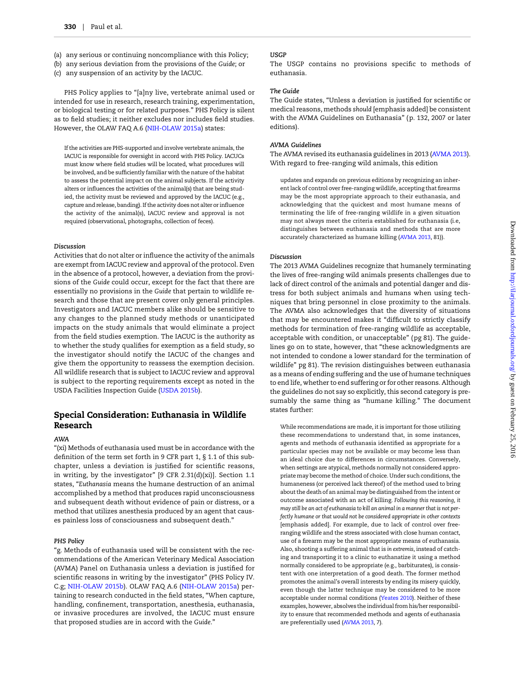- (a) any serious or continuing noncompliance with this Policy;
- (b) any serious deviation from the provisions of the Guide; or
- (c) any suspension of an activity by the IACUC.

PHS Policy applies to "[a]ny live, vertebrate animal used or intended for use in research, research training, experimentation, or biological testing or for related purposes." PHS Policy is silent as to field studies; it neither excludes nor includes field studies. However, the OLAW FAQ A.6 ([NIH-OLAW 2015a\)](#page-22-0) states:

If the activities are PHS-supported and involve vertebrate animals, the IACUC is responsible for oversight in accord with PHS Policy. IACUCs must know where field studies will be located, what procedures will be involved, and be sufficiently familiar with the nature of the habitat to assess the potential impact on the animal subjects. If the activity alters or influences the activities of the animal(s) that are being studied, the activity must be reviewed and approved by the IACUC (e.g., capture and release, banding). If the activity does not alter or influence the activity of the animal(s), IACUC review and approval is not required (observational, photographs, collection of feces).

## Discussion

Activities that do not alter or influence the activity of the animals are exempt from IACUC review and approval of the protocol. Even in the absence of a protocol, however, a deviation from the provisions of the Guide could occur, except for the fact that there are essentially no provisions in the Guide that pertain to wildlife research and those that are present cover only general principles. Investigators and IACUC members alike should be sensitive to any changes to the planned study methods or unanticipated impacts on the study animals that would eliminate a project from the field studies exemption. The IACUC is the authority as to whether the study qualifies for exemption as a field study, so the investigator should notify the IACUC of the changes and give them the opportunity to reassess the exemption decision. All wildlife research that is subject to IACUC review and approval is subject to the reporting requirements except as noted in the USDA Facilities Inspection Guide [\(USDA 2015b](#page-22-0)).

# Special Consideration: Euthanasia in Wildlife Research

#### AWA

"(xi) Methods of euthanasia used must be in accordance with the definition of the term set forth in 9 CFR part 1, § 1.1 of this subchapter, unless a deviation is justified for scientific reasons, in writing, by the investigator" [9 CFR 2.31(d)(xi)]. Section 1.1 states, "Euthanasia means the humane destruction of an animal accomplished by a method that produces rapid unconsciousness and subsequent death without evidence of pain or distress, or a method that utilizes anesthesia produced by an agent that causes painless loss of consciousness and subsequent death."

#### PHS Policy

"g. Methods of euthanasia used will be consistent with the recommendations of the American Veterinary Medical Association (AVMA) Panel on Euthanasia unless a deviation is justified for scientific reasons in writing by the investigator" (PHS Policy IV. C.g; [NIH-OLAW 2015b](#page-22-0)). OLAW FAQ A.6 ([NIH-OLAW 2015a\)](#page-22-0) pertaining to research conducted in the field states, "When capture, handling, confinement, transportation, anesthesia, euthanasia, or invasive procedures are involved, the IACUC must ensure that proposed studies are in accord with the Guide."

## **USGP**

The USGP contains no provisions specific to methods of euthanasia.

## The Guide

The Guide states, "Unless a deviation is justified for scientific or medical reasons, methods should [emphasis added] be consistent with the AVMA Guidelines on Euthanasia" (p. 132, 2007 or later editions).

#### AVMA Guidelines

The AVMA revised its euthanasia guidelines in 2013 ([AVMA 2013\)](#page-21-0). With regard to free-ranging wild animals, this edition

updates and expands on previous editions by recognizing an inherent lack of control over free-ranging wildlife, accepting that firearms may be the most appropriate approach to their euthanasia, and acknowledging that the quickest and most humane means of terminating the life of free-ranging wildlife in a given situation may not always meet the criteria established for euthanasia (i.e, distinguishes between euthanasia and methods that are more accurately characterized as humane killing ([AVMA 2013](#page-21-0), 81)).

#### Discussion

The 2013 AVMA Guidelines recognize that humanely terminating the lives of free-ranging wild animals presents challenges due to lack of direct control of the animals and potential danger and distress for both subject animals and humans when using techniques that bring personnel in close proximity to the animals. The AVMA also acknowledges that the diversity of situations that may be encountered makes it "difficult to strictly classify methods for termination of free-ranging wildlife as acceptable, acceptable with condition, or unacceptable" (pg 81). The guidelines go on to state, however, that "these acknowledgments are not intended to condone a lower standard for the termination of wildlife" pg 81). The revision distinguishes between euthanasia as a means of ending suffering and the use of humane techniques to end life, whether to end suffering or for other reasons. Although the guidelines do not say so explicitly, this second category is presumably the same thing as "humane killing." The document states further:

While recommendations are made, it is important for those utilizing these recommendations to understand that, in some instances, agents and methods of euthanasia identified as appropriate for a particular species may not be available or may become less than an ideal choice due to differences in circumstances. Conversely, when settings are atypical, methods normally not considered appropriate may become the method of choice. Under such conditions, the humaneness (or perceived lack thereof) of the method used to bring about the death of an animal may be distinguished from the intent or outcome associated with an act of killing. Following this reasoning, it may still be an act of euthanasia to kill an animal in a manner that is not perfectly humane or that would not be considered appropriate in other contexts [emphasis added]. For example, due to lack of control over freeranging wildlife and the stress associated with close human contact, use of a firearm may be the most appropriate means of euthanasia. Also, shooting a suffering animal that is in extremis, instead of catching and transporting it to a clinic to euthanatize it using a method normally considered to be appropriate (e.g., barbiturates), is consistent with one interpretation of a good death. The former method promotes the animal's overall interests by ending its misery quickly, even though the latter technique may be considered to be more acceptable under normal conditions [\(Yeates 2010\)](#page-22-0). Neither of these examples, however, absolves the individual from his/her responsibility to ensure that recommended methods and agents of euthanasia are preferentially used ([AVMA 2013,](#page-21-0) 7).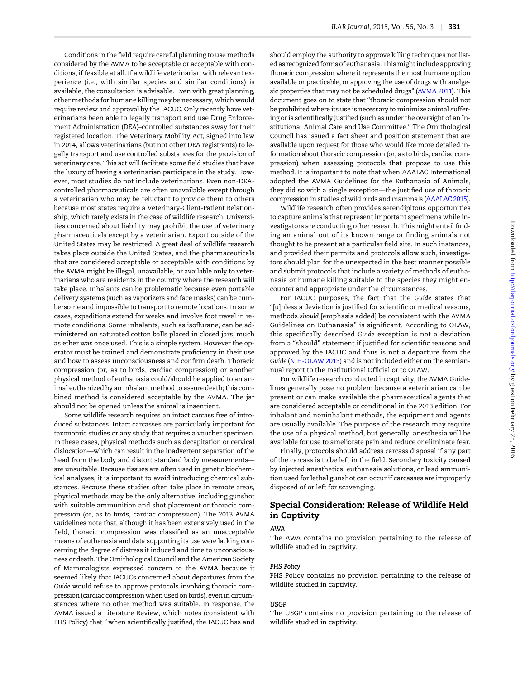Conditions in the field require careful planning to use methods considered by the AVMA to be acceptable or acceptable with conditions, if feasible at all. If a wildlife veterinarian with relevant experience (i.e., with similar species and similar conditions) is available, the consultation is advisable. Even with great planning, other methods for humane killing may be necessary, which would require review and approval by the IACUC. Only recently have veterinarians been able to legally transport and use Drug Enforcement Administration (DEA)–controlled substances away for their registered location. The Veterinary Mobility Act, signed into law in 2014, allows veterinarians (but not other DEA registrants) to legally transport and use controlled substances for the provision of veterinary care. This act will facilitate some field studies that have the luxury of having a veterinarian participate in the study. However, most studies do not include veterinarians. Even non-DEAcontrolled pharmaceuticals are often unavailable except through a veterinarian who may be reluctant to provide them to others because most states require a Veterinary-Client-Patient Relationship, which rarely exists in the case of wildlife research. Universities concerned about liability may prohibit the use of veterinary pharmaceuticals except by a veterinarian. Export outside of the United States may be restricted. A great deal of wildlife research takes place outside the United States, and the pharmaceuticals that are considered acceptable or acceptable with conditions by the AVMA might be illegal, unavailable, or available only to veterinarians who are residents in the country where the research will take place. Inhalants can be problematic because even portable delivery systems (such as vaporizers and face masks) can be cumbersome and impossible to transport to remote locations. In some cases, expeditions extend for weeks and involve foot travel in remote conditions. Some inhalants, such as isoflurane, can be administered on saturated cotton balls placed in closed jars, much as ether was once used. This is a simple system. However the operator must be trained and demonstrate proficiency in their use and how to assess unconsciousness and confirm death. Thoracic compression (or, as to birds, cardiac compression) or another physical method of euthanasia could/should be applied to an animal euthanized by an inhalant method to assure death; this combined method is considered acceptable by the AVMA. The jar should not be opened unless the animal is insentient.

Some wildlife research requires an intact carcass free of introduced substances. Intact carcasses are particularly important for taxonomic studies or any study that requires a voucher specimen. In these cases, physical methods such as decapitation or cervical dislocation—which can result in the inadvertent separation of the head from the body and distort standard body measurements are unsuitable. Because tissues are often used in genetic biochemical analyses, it is important to avoid introducing chemical substances. Because these studies often take place in remote areas, physical methods may be the only alternative, including gunshot with suitable ammunition and shot placement or thoracic compression (or, as to birds, cardiac compression). The 2013 AVMA Guidelines note that, although it has been extensively used in the field, thoracic compression was classified as an unacceptable means of euthanasia and data supporting its use were lacking concerning the degree of distress it induced and time to unconsciousness or death. The Ornithological Council and the American Society of Mammalogists expressed concern to the AVMA because it seemed likely that IACUCs concerned about departures from the Guide would refuse to approve protocols involving thoracic compression (cardiac compression when used on birds), even in circumstances where no other method was suitable. In response, the AVMA issued a Literature Review, which notes (consistent with PHS Policy) that " when scientifically justified, the IACUC has and

should employ the authority to approve killing techniques not listed as recognized forms of euthanasia. This might include approving thoracic compression where it represents the most humane option available or practicable, or approving the use of drugs with analgesic properties that may not be scheduled drugs" [\(AVMA 2011](#page-21-0)). This document goes on to state that "thoracic compression should not be prohibited where its use is necessary to minimize animal suffering or is scientifically justified (such as under the oversight of an Institutional Animal Care and Use Committee." The Ornithological Council has issued a fact sheet and position statement that are available upon request for those who would like more detailed information about thoracic compression (or, as to birds, cardiac compression) when assessing protocols that propose to use this method. It is important to note that when AAALAC International adopted the AVMA Guidelines for the Euthanasia of Animals, they did so with a single exception—the justified use of thoracic compression in studies of wild birds and mammals [\(AAALAC 2015\)](#page-21-0).

Wildlife research often provides serendipitous opportunities to capture animals that represent important specimens while investigators are conducting other research. This might entail finding an animal out of its known range or finding animals not thought to be present at a particular field site. In such instances, and provided their permits and protocols allow such, investigators should plan for the unexpected in the best manner possible and submit protocols that include a variety of methods of euthanasia or humane killing suitable to the species they might encounter and appropriate under the circumstances.

For IACUC purposes, the fact that the Guide states that "[u]nless a deviation is justified for scientific or medical reasons, methods should [emphasis added] be consistent with the AVMA Guidelines on Euthanasia" is significant. According to OLAW, this specifically described Guide exception is not a deviation from a "should" statement if justified for scientific reasons and approved by the IACUC and thus is not a departure from the Guide [\(NIH-OLAW 2013](#page-22-0)) and is not included either on the semiannual report to the Institutional Official or to OLAW.

For wildlife research conducted in captivity, the AVMA Guidelines generally pose no problem because a veterinarian can be present or can make available the pharmaceutical agents that are considered acceptable or conditional in the 2013 edition. For inhalant and noninhalant methods, the equipment and agents are usually available. The purpose of the research may require the use of a physical method, but generally, anesthesia will be available for use to ameliorate pain and reduce or eliminate fear.

Finally, protocols should address carcass disposal if any part of the carcass is to be left in the field. Secondary toxicity caused by injected anesthetics, euthanasia solutions, or lead ammunition used for lethal gunshot can occur if carcasses are improperly disposed of or left for scavenging.

# Special Consideration: Release of Wildlife Held in Captivity

## AWA

The AWA contains no provision pertaining to the release of wildlife studied in captivity.

## PHS Policy

PHS Policy contains no provision pertaining to the release of wildlife studied in captivity.

## USGP

The USGP contains no provision pertaining to the release of wildlife studied in captivity.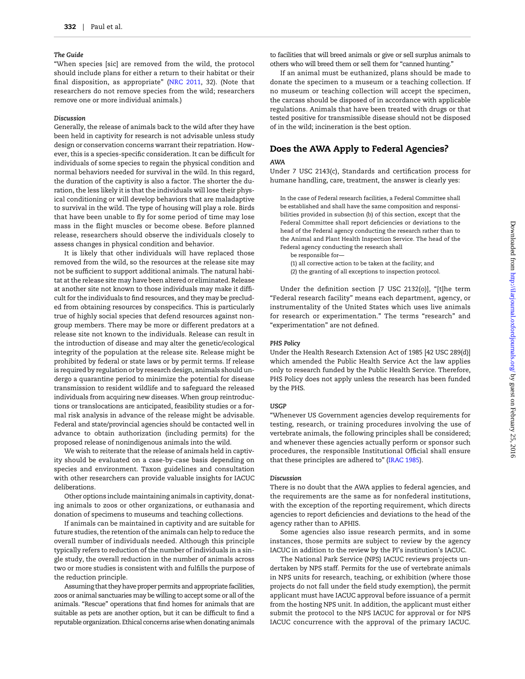## The Guide

"When species [sic] are removed from the wild, the protocol should include plans for either a return to their habitat or their final disposition, as appropriate" [\(NRC 2011](#page-22-0), 32). (Note that researchers do not remove species from the wild; researchers remove one or more individual animals.)

## Discussion

Generally, the release of animals back to the wild after they have been held in captivity for research is not advisable unless study design or conservation concerns warrant their repatriation. However, this is a species-specific consideration. It can be difficult for individuals of some species to regain the physical condition and normal behaviors needed for survival in the wild. In this regard, the duration of the captivity is also a factor. The shorter the duration, the less likely it is that the individuals will lose their physical conditioning or will develop behaviors that are maladaptive to survival in the wild. The type of housing will play a role. Birds that have been unable to fly for some period of time may lose mass in the flight muscles or become obese. Before planned release, researchers should observe the individuals closely to assess changes in physical condition and behavior.

It is likely that other individuals will have replaced those removed from the wild, so the resources at the release site may not be sufficient to support additional animals. The natural habitat at the release site may have been altered or eliminated. Release at another site not known to those individuals may make it difficult for the individuals to find resources, and they may be precluded from obtaining resources by conspecifics. This is particularly true of highly social species that defend resources against nongroup members. There may be more or different predators at a release site not known to the individuals. Release can result in the introduction of disease and may alter the genetic/ecological integrity of the population at the release site. Release might be prohibited by federal or state laws or by permit terms. If release is required by regulation or by research design, animals should undergo a quarantine period to minimize the potential for disease transmission to resident wildlife and to safeguard the released individuals from acquiring new diseases. When group reintroductions or translocations are anticipated, feasibility studies or a formal risk analysis in advance of the release might be advisable. Federal and state/provincial agencies should be contacted well in advance to obtain authorization (including permits) for the proposed release of nonindigenous animals into the wild.

We wish to reiterate that the release of animals held in captivity should be evaluated on a case-by-case basis depending on species and environment. Taxon guidelines and consultation with other researchers can provide valuable insights for IACUC deliberations.

Other options include maintaining animals in captivity, donating animals to zoos or other organizations, or euthanasia and donation of specimens to museums and teaching collections.

If animals can be maintained in captivity and are suitable for future studies, the retention of the animals can help to reduce the overall number of individuals needed. Although this principle typically refers to reduction of the number of individuals in a single study, the overall reduction in the number of animals across two or more studies is consistent with and fulfills the purpose of the reduction principle.

Assuming that they have proper permits and appropriate facilities, zoos or animal sanctuaries may be willing to accept some or all of the animals. "Rescue" operations that find homes for animals that are suitable as pets are another option, but it can be difficult to find a reputable organization. Ethical concerns arisewhen donating animals to facilities that will breed animals or give or sell surplus animals to others who will breed them or sell them for "canned hunting."

If an animal must be euthanized, plans should be made to donate the specimen to a museum or a teaching collection. If no museum or teaching collection will accept the specimen, the carcass should be disposed of in accordance with applicable regulations. Animals that have been treated with drugs or that tested positive for transmissible disease should not be disposed of in the wild; incineration is the best option.

# Does the AWA Apply to Federal Agencies?

#### AWA

Under 7 USC 2143(c), Standards and certification process for humane handling, care, treatment, the answer is clearly yes:

In the case of Federal research facilities, a Federal Committee shall be established and shall have the same composition and responsibilities provided in subsection (b) of this section, except that the Federal Committee shall report deficiencies or deviations to the head of the Federal agency conducting the research rather than to the Animal and Plant Health Inspection Service. The head of the Federal agency conducting the research shall

be responsible for—

- (1) all corrective action to be taken at the facility; and
- (2) the granting of all exceptions to inspection protocol.

Under the definition section [7 USC 2132(o)], "[t]he term "Federal research facility" means each department, agency, or instrumentality of the United States which uses live animals for research or experimentation." The terms "research" and "experimentation" are not defined.

#### PHS Policy

Under the Health Research Extension Act of 1985 [42 USC 289(d)] which amended the Public Health Service Act the law applies only to research funded by the Public Health Service. Therefore, PHS Policy does not apply unless the research has been funded by the PHS.

# USGP

"Whenever US Government agencies develop requirements for testing, research, or training procedures involving the use of vertebrate animals, the following principles shall be considered; and whenever these agencies actually perform or sponsor such procedures, the responsible Institutional Official shall ensure that these principles are adhered to" [\(IRAC 1985](#page-22-0)).

## Discussion

There is no doubt that the AWA applies to federal agencies, and the requirements are the same as for nonfederal institutions, with the exception of the reporting requirement, which directs agencies to report deficiencies and deviations to the head of the agency rather than to APHIS.

Some agencies also issue research permits, and in some instances, those permits are subject to review by the agency IACUC in addition to the review by the PI's institution's IACUC.

The National Park Service (NPS) IACUC reviews projects undertaken by NPS staff. Permits for the use of vertebrate animals in NPS units for research, teaching, or exhibition (where those projects do not fall under the field study exemption), the permit applicant must have IACUC approval before issuance of a permit from the hosting NPS unit. In addition, the applicant must either submit the protocol to the NPS IACUC for approval or for NPS IACUC concurrence with the approval of the primary IACUC.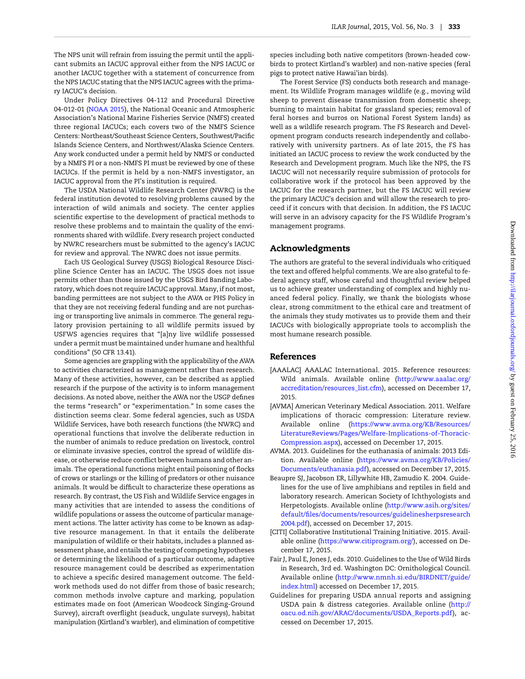<span id="page-21-0"></span>The NPS unit will refrain from issuing the permit until the applicant submits an IACUC approval either from the NPS IACUC or another IACUC together with a statement of concurrence from the NPS IACUC stating that the NPS IACUC agrees with the primary IACUC's decision.

Under Policy Directives 04-112 and Procedural Directive 04-012-01 [\(NOAA 2015](#page-22-0)), the National Oceanic and Atmospheric Association's National Marine Fisheries Service (NMFS) created three regional IACUCs; each covers two of the NMFS Science Centers: Northeast/Southeast Science Centers, Southwest/Pacific Islands Science Centers, and Northwest/Alaska Science Centers. Any work conducted under a permit held by NMFS or conducted by a NMFS PI or a non-NMFS PI must be reviewed by one of these IACUCs. If the permit is held by a non-NMFS investigator, an IACUC approval from the PI's institution is required.

The USDA National Wildlife Research Center (NWRC) is the federal institution devoted to resolving problems caused by the interaction of wild animals and society. The center applies scientific expertise to the development of practical methods to resolve these problems and to maintain the quality of the environments shared with wildlife. Every research project conducted by NWRC researchers must be submitted to the agency's IACUC for review and approval. The NWRC does not issue permits.

Each US Geological Survey (USGS) Biological Resource Discipline Science Center has an IACUC. The USGS does not issue permits other than those issued by the USGS Bird Banding Laboratory, which does not require IACUC approval. Many, if not most, banding permittees are not subject to the AWA or PHS Policy in that they are not receiving federal funding and are not purchasing or transporting live animals in commerce. The general regulatory provision pertaining to all wildlife permits issued by USFWS agencies requires that "[a]ny live wildlife possessed under a permit must be maintained under humane and healthful conditions" (50 CFR 13.41).

Some agencies are grappling with the applicability of the AWA to activities characterized as management rather than research. Many of these activities, however, can be described as applied research if the purpose of the activity is to inform management decisions. As noted above, neither the AWA nor the USGP defines the terms "research" or "experimentation." In some cases the distinction seems clear. Some federal agencies, such as USDA Wildlife Services, have both research functions (the NWRC) and operational functions that involve the deliberate reduction in the number of animals to reduce predation on livestock, control or eliminate invasive species, control the spread of wildlife disease, or otherwise reduce conflict between humans and other animals. The operational functions might entail poisoning of flocks of crows or starlings or the killing of predators or other nuisance animals. It would be difficult to characterize these operations as research. By contrast, the US Fish and Wildlife Service engages in many activities that are intended to assess the conditions of wildlife populations or assess the outcome of particular management actions. The latter activity has come to be known as adaptive resource management. In that it entails the deliberate manipulation of wildlife or their habitats, includes a planned assessment phase, and entails the testing of competing hypotheses or determining the likelihood of a particular outcome, adaptive resource management could be described as experimentation to achieve a specific desired management outcome. The fieldwork methods used do not differ from those of basic research; common methods involve capture and marking, population estimates made on foot (American Woodcock Singing-Ground Survey), aircraft overflight (seaduck, ungulate surveys), habitat manipulation (Kirtland's warbler), and elimination of competitive

species including both native competitors (brown-headed cowbirds to protect Kirtland's warbler) and non-native species (feral pigs to protect native Hawai'ian birds).

The Forest Service (FS) conducts both research and management. Its Wildlife Program manages wildlife (e.g., moving wild sheep to prevent disease transmission from domestic sheep; burning to maintain habitat for grassland species; removal of feral horses and burros on National Forest System lands) as well as a wildlife research program. The FS Research and Development program conducts research independently and collaboratively with university partners. As of late 2015, the FS has initiated an IACUC process to review the work conducted by the Research and Development program. Much like the NPS, the FS IACUC will not necessarily require submission of protocols for collaborative work if the protocol has been approved by the IACUC for the research partner, but the FS IACUC will review the primary IACUC's decision and will allow the research to proceed if it concurs with that decision. In addition, the FS IACUC will serve in an advisory capacity for the FS Wildlife Program's management programs.

# Acknowledgments

The authors are grateful to the several individuals who critiqued the text and offered helpful comments. We are also grateful to federal agency staff, whose careful and thoughtful review helped us to achieve greater understanding of complex and highly nuanced federal policy. Finally, we thank the biologists whose clear, strong commitment to the ethical care and treatment of the animals they study motivates us to provide them and their IACUCs with biologically appropriate tools to accomplish the most humane research possible.

# References

- [AAALAC] AAALAC International. 2015. Reference resources: Wild animals. Available online [\(http://www.aaalac.org/](http://www.aaalac.org/accreditation/resources_list.cfm) [accreditation/resources\\_list.cfm\)](http://www.aaalac.org/accreditation/resources_list.cfm), accessed on December 17, 2015.
- [AVMA] American Veterinary Medical Association. 2011. Welfare implications of thoracic compression: Literature review. Available online [\(https://www.avma.org/KB/Resources/](https://www.avma.org/KB/Resources/LiteratureReviews/Pages/Welfare-Implications-of-Thoracic-Compression.aspx) [LiteratureReviews/Pages/Welfare-Implications-of-Thoracic-](https://www.avma.org/KB/Resources/LiteratureReviews/Pages/Welfare-Implications-of-Thoracic-Compression.aspx)[Compression.aspx\)](https://www.avma.org/KB/Resources/LiteratureReviews/Pages/Welfare-Implications-of-Thoracic-Compression.aspx), accessed on December 17, 2015.
- AVMA. 2013. Guidelines for the euthanasia of animals: 2013 Edition. Available online ([https://www.avma.org/KB/Policies/](https://www.avma.org/KB/Policies/Documents/euthanasia.pdf) [Documents/euthanasia.pdf](https://www.avma.org/KB/Policies/Documents/euthanasia.pdf)), accessed on December 17, 2015.
- Beaupre SJ, Jacobson ER, Lillywhite HB, Zamudio K. 2004. Guidelines for the use of live amphibians and reptiles in field and laboratory research. American Society of Ichthyologists and Herpetologists. Available online [\(http://www.asih.org/sites/](http://www.asih.org/sites/default/files/documents/resources/guidelinesherpsresearch2004.pdf) default/fi[les/documents/resources/guidelinesherpsresearch](http://www.asih.org/sites/default/files/documents/resources/guidelinesherpsresearch2004.pdf) [2004.pdf](http://www.asih.org/sites/default/files/documents/resources/guidelinesherpsresearch2004.pdf)), accessed on December 17, 2015.
- [CITI] Collaborative Institutional Training Initiative. 2015. Available online (<https://www.citiprogram.org/>), accessed on December 17, 2015.
- Fair J, Paul E, Jones J, eds. 2010. Guidelines to the Use of Wild Birds in Research, 3rd ed. Washington DC: Ornithological Council. Available online ([http://www.nmnh.si.edu/BIRDNET/guide/](http://www.nmnh.si.edu/BIRDNET/guide/index.html) [index.html](http://www.nmnh.si.edu/BIRDNET/guide/index.html)) accessed on December 17, 2015.
- Guidelines for preparing USDA annual reports and assigning USDA pain & distress categories. Available online ([http://](http://oacu.od.nih.gov/ARAC/documents/USDA_Reports.pdf) [oacu.od.nih.gov/ARAC/documents/USDA\\_Reports.pdf](http://oacu.od.nih.gov/ARAC/documents/USDA_Reports.pdf)), accessed on December 17, 2015.